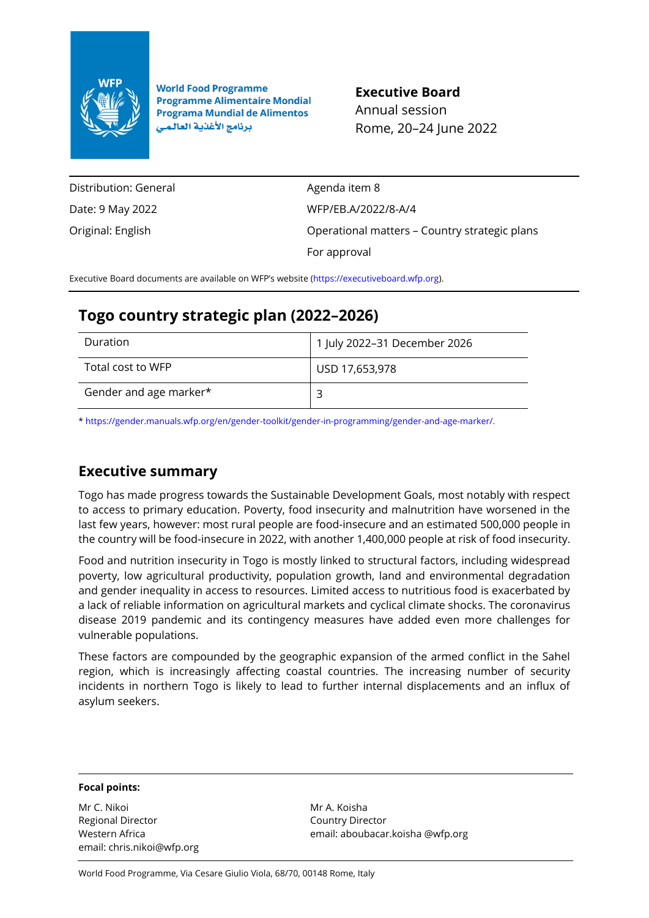

**World Food Programme Programme Alimentaire Mondial Programa Mundial de Alimentos** برنامج الأغذية العالمي

## **Executive Board**

Annual session Rome, 20–24 June 2022

Distribution: General Date: 9 May 2022 Original: English Agenda item 8 WFP/EB.A/2022/8-A/4 Operational matters – Country strategic plans For approval

Executive Board documents are available on WFP's website [\(https://executiveboard.wfp.org\)](https://executiveboard.wfp.org/).

# **Togo country strategic plan (2022–2026)**

| Duration               | 1 July 2022-31 December 2026 |
|------------------------|------------------------------|
| Total cost to WFP      | USD 17,653,978               |
| Gender and age marker* |                              |

[\\* https://gender.manuals.wfp.org/en/gender-toolkit/gender-in-programming/gender-and-age-marker/.](https://gender.manuals.wfp.org/en/gender-toolkit/gender-in-programming/gender-and-age-marker/)

# **Executive summary**

Togo has made progress towards the Sustainable Development Goals, most notably with respect to access to primary education. Poverty, food insecurity and malnutrition have worsened in the last few years, however: most rural people are food-insecure and an estimated 500,000 people in the country will be food-insecure in 2022, with another 1,400,000 people at risk of food insecurity.

Food and nutrition insecurity in Togo is mostly linked to structural factors, including widespread poverty, low agricultural productivity, population growth, land and environmental degradation and gender inequality in access to resources. Limited access to nutritious food is exacerbated by a lack of reliable information on agricultural markets and cyclical climate shocks. The coronavirus disease 2019 pandemic and its contingency measures have added even more challenges for vulnerable populations.

These factors are compounded by the geographic expansion of the armed conflict in the Sahel region, which is increasingly affecting coastal countries. The increasing number of security incidents in northern Togo is likely to lead to further internal displacements and an influx of asylum seekers.

#### **Focal points:**

Mr C. Nikoi Regional Director Western Africa email: chris.nikoi@wfp.org Mr A. Koisha Country Director email: aboubacar.koisha @wfp.org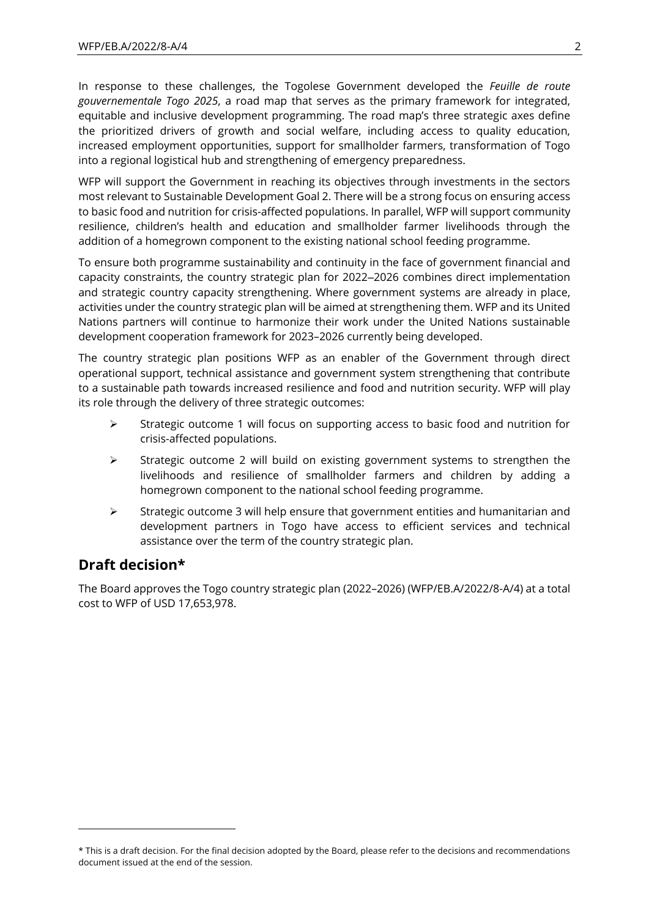In response to these challenges, the Togolese Government developed the *Feuille de route gouvernementale Togo 2025*, a road map that serves as the primary framework for integrated, equitable and inclusive development programming. The road map's three strategic axes define the prioritized drivers of growth and social welfare, including access to quality education, increased employment opportunities, support for smallholder farmers, transformation of Togo into a regional logistical hub and strengthening of emergency preparedness.

WFP will support the Government in reaching its objectives through investments in the sectors most relevant to Sustainable Development Goal 2. There will be a strong focus on ensuring access to basic food and nutrition for crisis-affected populations. In parallel, WFP will support community resilience, children's health and education and smallholder farmer livelihoods through the addition of a homegrown component to the existing national school feeding programme.

To ensure both programme sustainability and continuity in the face of government financial and capacity constraints, the country strategic plan for 2022–2026 combines direct implementation and strategic country capacity strengthening. Where government systems are already in place, activities under the country strategic plan will be aimed at strengthening them. WFP and its United Nations partners will continue to harmonize their work under the United Nations sustainable development cooperation framework for 2023–2026 currently being developed.

The country strategic plan positions WFP as an enabler of the Government through direct operational support, technical assistance and government system strengthening that contribute to a sustainable path towards increased resilience and food and nutrition security. WFP will play its role through the delivery of three strategic outcomes:

- $\triangleright$  Strategic outcome 1 will focus on supporting access to basic food and nutrition for crisis-affected populations.
- ➢ Strategic outcome 2 will build on existing government systems to strengthen the livelihoods and resilience of smallholder farmers and children by adding a homegrown component to the national school feeding programme.
- $\triangleright$  Strategic outcome 3 will help ensure that government entities and humanitarian and development partners in Togo have access to efficient services and technical assistance over the term of the country strategic plan.

# **Draft decision\***

The Board approves the Togo country strategic plan (2022–2026) (WFP/EB.A/2022/8-A/4) at a total cost to WFP of USD 17,653,978.

<sup>\*</sup> This is a draft decision. For the final decision adopted by the Board, please refer to the decisions and recommendations document issued at the end of the session.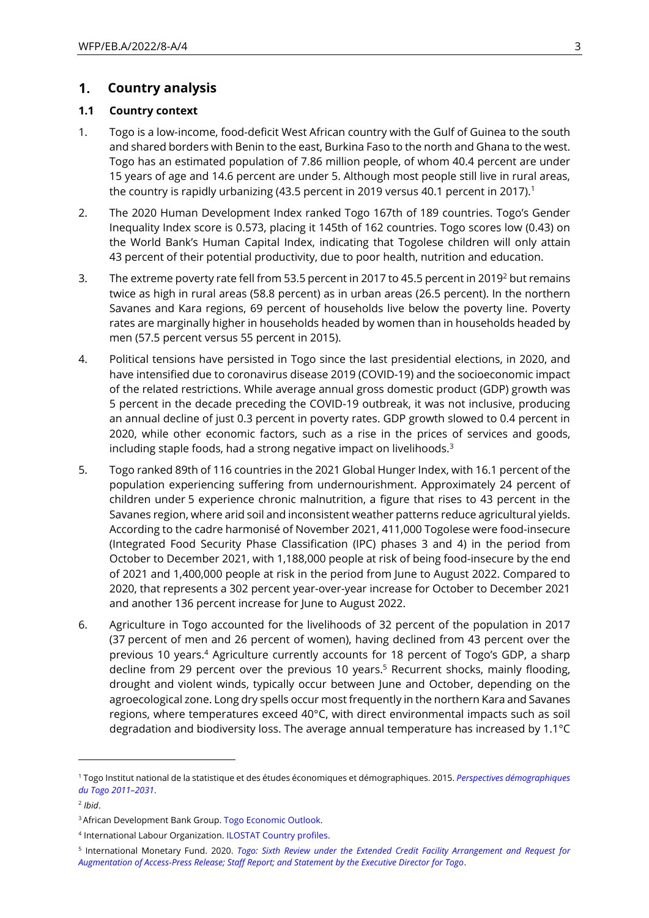#### $1.$ **Country analysis**

### **1.1 Country context**

- 1. Togo is a low-income, food-deficit West African country with the Gulf of Guinea to the south and shared borders with Benin to the east, Burkina Faso to the north and Ghana to the west. Togo has an estimated population of 7.86 million people, of whom 40.4 percent are under 15 years of age and 14.6 percent are under 5. Although most people still live in rural areas, the country is rapidly urbanizing (43.5 percent in 2019 versus 40.1 percent in 2017).<sup>1</sup>
- 2. The 2020 Human Development Index ranked Togo 167th of 189 countries. Togo's Gender Inequality Index score is 0.573, placing it 145th of 162 countries. Togo scores low (0.43) on the World Bank's Human Capital Index, indicating that Togolese children will only attain 43 percent of their potential productivity, due to poor health, nutrition and education.
- 3. The extreme poverty rate fell from 53.5 percent in 2017 to 45.5 percent in 2019<sup>2</sup> but remains twice as high in rural areas (58.8 percent) as in urban areas (26.5 percent). In the northern Savanes and Kara regions, 69 percent of households live below the poverty line. Poverty rates are marginally higher in households headed by women than in households headed by men (57.5 percent versus 55 percent in 2015).
- 4. Political tensions have persisted in Togo since the last presidential elections, in 2020, and have intensified due to coronavirus disease 2019 (COVID-19) and the socioeconomic impact of the related restrictions. While average annual gross domestic product (GDP) growth was 5 percent in the decade preceding the COVID-19 outbreak, it was not inclusive, producing an annual decline of just 0.3 percent in poverty rates. GDP growth slowed to 0.4 percent in 2020, while other economic factors, such as a rise in the prices of services and goods, including staple foods, had a strong negative impact on livelihoods.<sup>3</sup>
- 5. Togo ranked 89th of 116 countries in the 2021 Global Hunger Index, with 16.1 percent of the population experiencing suffering from undernourishment. Approximately 24 percent of children under 5 experience chronic malnutrition, a figure that rises to 43 percent in the Savanes region, where arid soil and inconsistent weather patterns reduce agricultural yields. According to the cadre harmonisé of November 2021, 411,000 Togolese were food-insecure (Integrated Food Security Phase Classification (IPC) phases 3 and 4) in the period from October to December 2021, with 1,188,000 people at risk of being food-insecure by the end of 2021 and 1,400,000 people at risk in the period from June to August 2022. Compared to 2020, that represents a 302 percent year-over-year increase for October to December 2021 and another 136 percent increase for June to August 2022.
- 6. Agriculture in Togo accounted for the livelihoods of 32 percent of the population in 2017 (37 percent of men and 26 percent of women), having declined from 43 percent over the previous 10 years.<sup>4</sup> Agriculture currently accounts for 18 percent of Togo's GDP, a sharp decline from 29 percent over the previous 10 years.<sup>5</sup> Recurrent shocks, mainly flooding, drought and violent winds, typically occur between June and October, depending on the agroecological zone. Long dry spells occur most frequently in the northern Kara and Savanes regions, where temperatures exceed 40°C, with direct environmental impacts such as soil degradation and biodiversity loss. The average annual temperature has increased by 1.1°C

<sup>1</sup> Togo Institut national de la statistique et des études économiques et démographiques. 2015. *[Perspectives démographiques](https://inseed.tg/statistiques-demographiques/)  [du Togo 2011](https://inseed.tg/statistiques-demographiques/)–2031*.

<sup>2</sup> *Ibid*.

<sup>&</sup>lt;sup>3</sup> African Development Bank Group[. Togo Economic Outlook.](https://www.afdb.org/en/countries-west-africa-togo/togo-economic-outlook)

<sup>4</sup> International Labour Organization. [ILOSTAT Country profiles.](https://ilostat.ilo.org/data/country-profiles)

<sup>5</sup> International Monetary Fund. 2020. *[Togo: Sixth Review under the Extended Credit Facility Arrangement and Request for](https://www.imf.org/en/Publications/CR/Issues/2020/04/16/Togo-Sixth-Review-under-the-Extended-Credit-Facility-Arrangement-and-Request-for-49334)  [Augmentation of Access-Press Release; Staff Report; and Statement by the Executive Director for Togo](https://www.imf.org/en/Publications/CR/Issues/2020/04/16/Togo-Sixth-Review-under-the-Extended-Credit-Facility-Arrangement-and-Request-for-49334)*.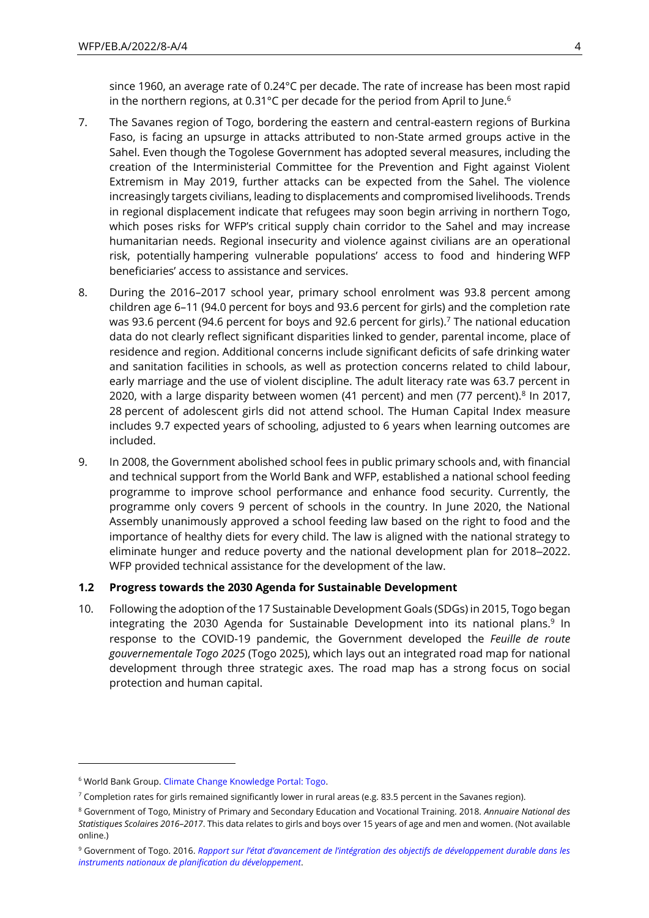since 1960, an average rate of 0.24°C per decade. The rate of increase has been most rapid in the northern regions, at 0.31°C per decade for the period from April to June.<sup>6</sup>

- 7. The Savanes region of Togo, bordering the eastern and central-eastern regions of Burkina Faso, is facing an upsurge in attacks attributed to non-State armed groups active in the Sahel. Even though the Togolese Government has adopted several measures, including the creation of the Interministerial Committee for the Prevention and Fight against Violent Extremism in May 2019, further attacks can be expected from the Sahel. The violence increasingly targets civilians, leading to displacements and compromised livelihoods. Trends in regional displacement indicate that refugees may soon begin arriving in northern Togo, which poses risks for WFP's critical supply chain corridor to the Sahel and may increase humanitarian needs. Regional insecurity and violence against civilians are an operational risk, potentially hampering vulnerable populations' access to food and hindering WFP beneficiaries' access to assistance and services.
- 8. During the 2016–2017 school year, primary school enrolment was 93.8 percent among children age 6–11 (94.0 percent for boys and 93.6 percent for girls) and the completion rate was 93.6 percent (94.6 percent for boys and 92.6 percent for girls).<sup>7</sup> The national education data do not clearly reflect significant disparities linked to gender, parental income, place of residence and region. Additional concerns include significant deficits of safe drinking water and sanitation facilities in schools, as well as protection concerns related to child labour, early marriage and the use of violent discipline. The adult literacy rate was 63.7 percent in 2020, with a large disparity between women (41 percent) and men (77 percent).<sup>8</sup> In 2017, 28 percent of adolescent girls did not attend school. The Human Capital Index measure includes 9.7 expected years of schooling, adjusted to 6 years when learning outcomes are included.
- 9. In 2008, the Government abolished school fees in public primary schools and, with financial and technical support from the World Bank and WFP, established a national school feeding programme to improve school performance and enhance food security. Currently, the programme only covers 9 percent of schools in the country. In June 2020, the National Assembly unanimously approved a school feeding law based on the right to food and the importance of healthy diets for every child. The law is aligned with the national strategy to eliminate hunger and reduce poverty and the national development plan for 2018–2022. WFP provided technical assistance for the development of the law.

#### **1.2 Progress towards the 2030 Agenda for Sustainable Development**

10. Following the adoption of the 17 Sustainable Development Goals (SDGs) in 2015, Togo began integrating the 2030 Agenda for Sustainable Development into its national plans.<sup>9</sup> In response to the COVID-19 pandemic, the Government developed the *Feuille de route gouvernementale Togo 2025* (Togo 2025), which lays out an integrated road map for national development through three strategic axes. The road map has a strong focus on social protection and human capital.

<sup>6</sup> World Bank Group[. Climate Change Knowledge Portal: Togo.](https://climateknowledgeportal.worldbank.org/country/togo/climate-data-historical)

 $7$  Completion rates for girls remained significantly lower in rural areas (e.g. 83.5 percent in the Savanes region).

<sup>8</sup> Government of Togo, Ministry of Primary and Secondary Education and Vocational Training. 2018. *Annuaire National des Statistiques Scolaires 2016–2017*. This data relates to girls and boys over 15 years of age and men and women. (Not available online.)

<sup>9</sup> Government of Togo. 2016. *[Rapport sur l'état d'avancement de l'intégration des objectifs de développement durable dans les](https://www1.undp.org/content/dam/togo/docs/operation/publications/Rapport-Togo-FPHN-ODD-2016.pdf.)  [instruments nationaux de planification du développement](https://www1.undp.org/content/dam/togo/docs/operation/publications/Rapport-Togo-FPHN-ODD-2016.pdf.)*.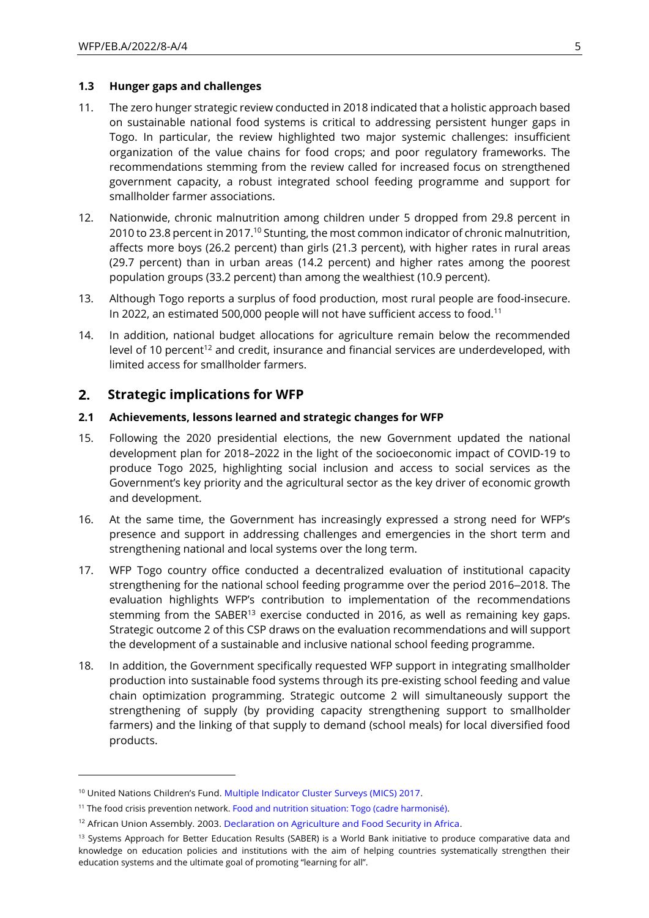#### **1.3 Hunger gaps and challenges**

- 11. The zero hunger strategic review conducted in 2018 indicated that a holistic approach based on sustainable national food systems is critical to addressing persistent hunger gaps in Togo. In particular, the review highlighted two major systemic challenges: insufficient organization of the value chains for food crops; and poor regulatory frameworks. The recommendations stemming from the review called for increased focus on strengthened government capacity, a robust integrated school feeding programme and support for smallholder farmer associations.
- 12. Nationwide, chronic malnutrition among children under 5 dropped from 29.8 percent in 2010 to 23.8 percent in 2017.<sup>10</sup> Stunting, the most common indicator of chronic malnutrition, affects more boys (26.2 percent) than girls (21.3 percent), with higher rates in rural areas (29.7 percent) than in urban areas (14.2 percent) and higher rates among the poorest population groups (33.2 percent) than among the wealthiest (10.9 percent).
- 13. Although Togo reports a surplus of food production, most rural people are food-insecure. In 2022, an estimated 500,000 people will not have sufficient access to food.<sup>11</sup>
- 14. In addition, national budget allocations for agriculture remain below the recommended level of 10 percent<sup>12</sup> and credit, insurance and financial services are underdeveloped, with limited access for smallholder farmers.

#### **Strategic implications for WFP**  $2.$

### **2.1 Achievements, lessons learned and strategic changes for WFP**

- 15. Following the 2020 presidential elections, the new Government updated the national development plan for 2018–2022 in the light of the socioeconomic impact of COVID-19 to produce Togo 2025, highlighting social inclusion and access to social services as the Government's key priority and the agricultural sector as the key driver of economic growth and development.
- 16. At the same time, the Government has increasingly expressed a strong need for WFP's presence and support in addressing challenges and emergencies in the short term and strengthening national and local systems over the long term.
- 17. WFP Togo country office conducted a decentralized evaluation of institutional capacity strengthening for the national school feeding programme over the period 2016–2018. The evaluation highlights WFP's contribution to implementation of the recommendations stemming from the SABER<sup>13</sup> exercise conducted in 2016, as well as remaining key gaps. Strategic outcome 2 of this CSP draws on the evaluation recommendations and will support the development of a sustainable and inclusive national school feeding programme.
- 18. In addition, the Government specifically requested WFP support in integrating smallholder production into sustainable food systems through its pre-existing school feeding and value chain optimization programming. Strategic outcome 2 will simultaneously support the strengthening of supply (by providing capacity strengthening support to smallholder farmers) and the linking of that supply to demand (school meals) for local diversified food products.

<sup>&</sup>lt;sup>10</sup> United Nations Children's Fund. [Multiple Indicator Cluster Surveys \(MICS\) 2017.](https://www.ecoi.net/en/document/2025787.html)

<sup>11</sup> The food crisis prevention network[. Food and nutrition situation: Togo \(cadre harmonisé\).](https://www.food-security.net/en/datas/togo/)

<sup>&</sup>lt;sup>12</sup> African Union Assembly. 2003[. Declaration on Agriculture and Food Security in Africa](https://archives.au.int/handle/123456789/333)[.](https://www.nepad.org/caadp/publication/au-2003-maputo-declaration-agriculture-and-food-security)

<sup>&</sup>lt;sup>13</sup> Systems Approach for Better Education Results (SABER) is a World Bank initiative to produce comparative data and knowledge on education policies and institutions with the aim of helping countries systematically strengthen their education systems and the ultimate goal of promoting "learning for all".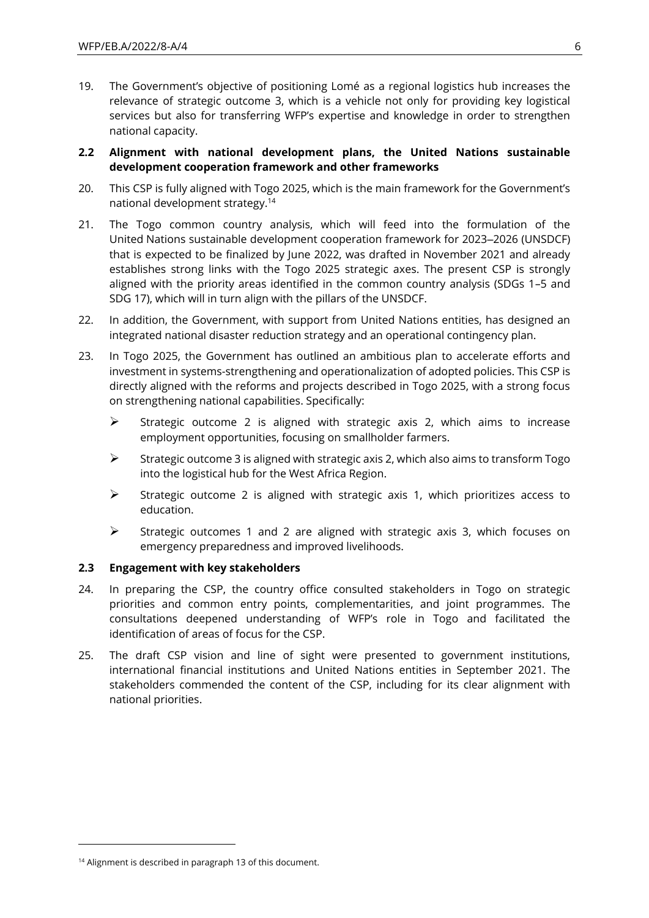19. The Government's objective of positioning Lomé as a regional logistics hub increases the relevance of strategic outcome 3, which is a vehicle not only for providing key logistical services but also for transferring WFP's expertise and knowledge in order to strengthen national capacity.

### **2.2 Alignment with national development plans, the United Nations sustainable development cooperation framework and other frameworks**

- 20. This CSP is fully aligned with Togo 2025, which is the main framework for the Government's national development strategy.<sup>14</sup>
- 21. The Togo common country analysis, which will feed into the formulation of the United Nations sustainable development cooperation framework for 2023–2026 (UNSDCF) that is expected to be finalized by June 2022, was drafted in November 2021 and already establishes strong links with the Togo 2025 strategic axes. The present CSP is strongly aligned with the priority areas identified in the common country analysis (SDGs 1–5 and SDG 17), which will in turn align with the pillars of the UNSDCF.
- 22. In addition, the Government, with support from United Nations entities, has designed an integrated national disaster reduction strategy and an operational contingency plan.
- 23. In Togo 2025, the Government has outlined an ambitious plan to accelerate efforts and investment in systems-strengthening and operationalization of adopted policies. This CSP is directly aligned with the reforms and projects described in Togo 2025, with a strong focus on strengthening national capabilities. Specifically:
	- $\triangleright$  Strategic outcome 2 is aligned with strategic axis 2, which aims to increase employment opportunities, focusing on smallholder farmers.
	- ➢ Strategic outcome 3 is aligned with strategic axis 2, which also aims to transform Togo into the logistical hub for the West Africa Region.
	- $\triangleright$  Strategic outcome 2 is aligned with strategic axis 1, which prioritizes access to education.
	- $\triangleright$  Strategic outcomes 1 and 2 are aligned with strategic axis 3, which focuses on emergency preparedness and improved livelihoods.

### **2.3 Engagement with key stakeholders**

- 24. In preparing the CSP, the country office consulted stakeholders in Togo on strategic priorities and common entry points, complementarities, and joint programmes. The consultations deepened understanding of WFP's role in Togo and facilitated the identification of areas of focus for the CSP.
- 25. The draft CSP vision and line of sight were presented to government institutions, international financial institutions and United Nations entities in September 2021. The stakeholders commended the content of the CSP, including for its clear alignment with national priorities.

<sup>&</sup>lt;sup>14</sup> Alignment is described in paragraph 13 of this document.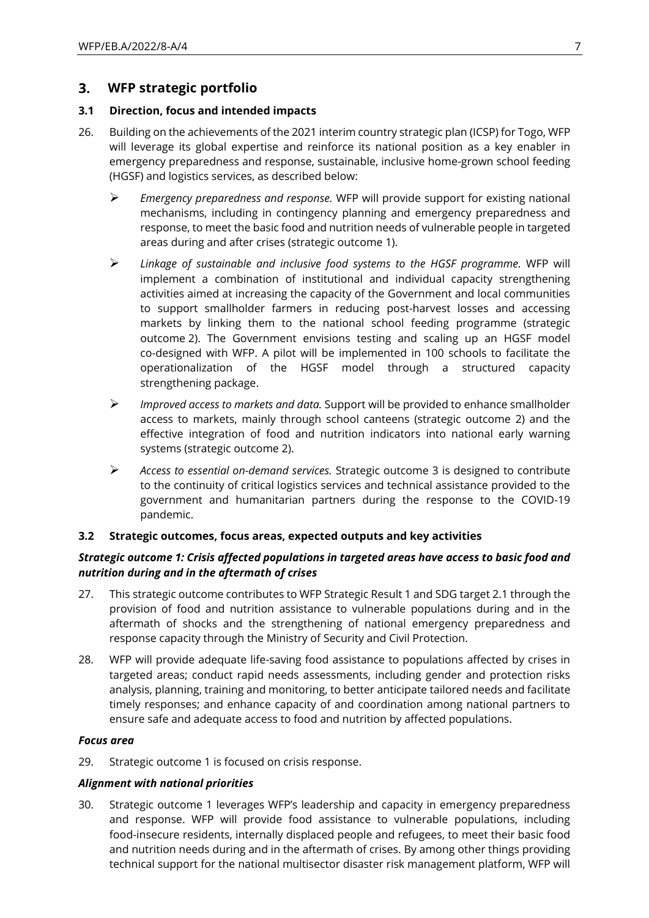#### **WFP strategic portfolio**  $3.$

### **3.1 Direction, focus and intended impacts**

- 26. Building on the achievements of the 2021 interim country strategic plan (ICSP) for Togo, WFP will leverage its global expertise and reinforce its national position as a key enabler in emergency preparedness and response, sustainable, inclusive home-grown school feeding (HGSF) and logistics services, as described below:
	- ➢ *Emergency preparedness and response.* WFP will provide support for existing national mechanisms, including in contingency planning and emergency preparedness and response, to meet the basic food and nutrition needs of vulnerable people in targeted areas during and after crises (strategic outcome 1).
	- ➢ *Linkage of sustainable and inclusive food systems to the HGSF programme.* WFP will implement a combination of institutional and individual capacity strengthening activities aimed at increasing the capacity of the Government and local communities to support smallholder farmers in reducing post-harvest losses and accessing markets by linking them to the national school feeding programme (strategic outcome 2). The Government envisions testing and scaling up an HGSF model co-designed with WFP. A pilot will be implemented in 100 schools to facilitate the operationalization of the HGSF model through a structured capacity strengthening package.
	- ➢ *Improved access to markets and data.* Support will be provided to enhance smallholder access to markets, mainly through school canteens (strategic outcome 2) and the effective integration of food and nutrition indicators into national early warning systems (strategic outcome 2).
	- ➢ *Access to essential on-demand services.* Strategic outcome 3 is designed to contribute to the continuity of critical logistics services and technical assistance provided to the government and humanitarian partners during the response to the COVID-19 pandemic.

#### **3.2 Strategic outcomes, focus areas, expected outputs and key activities**

### *Strategic outcome 1: Crisis affected populations in targeted areas have access to basic food and nutrition during and in the aftermath of crises*

- 27. This strategic outcome contributes to WFP Strategic Result 1 and SDG target 2.1 through the provision of food and nutrition assistance to vulnerable populations during and in the aftermath of shocks and the strengthening of national emergency preparedness and response capacity through the Ministry of Security and Civil Protection.
- 28. WFP will provide adequate life-saving food assistance to populations affected by crises in targeted areas; conduct rapid needs assessments, including gender and protection risks analysis, planning, training and monitoring, to better anticipate tailored needs and facilitate timely responses; and enhance capacity of and coordination among national partners to ensure safe and adequate access to food and nutrition by affected populations.

#### *Focus area*

29. Strategic outcome 1 is focused on crisis response.

### *Alignment with national priorities*

30. Strategic outcome 1 leverages WFP's leadership and capacity in emergency preparedness and response. WFP will provide food assistance to vulnerable populations, including food-insecure residents, internally displaced people and refugees, to meet their basic food and nutrition needs during and in the aftermath of crises. By among other things providing technical support for the national multisector disaster risk management platform, WFP will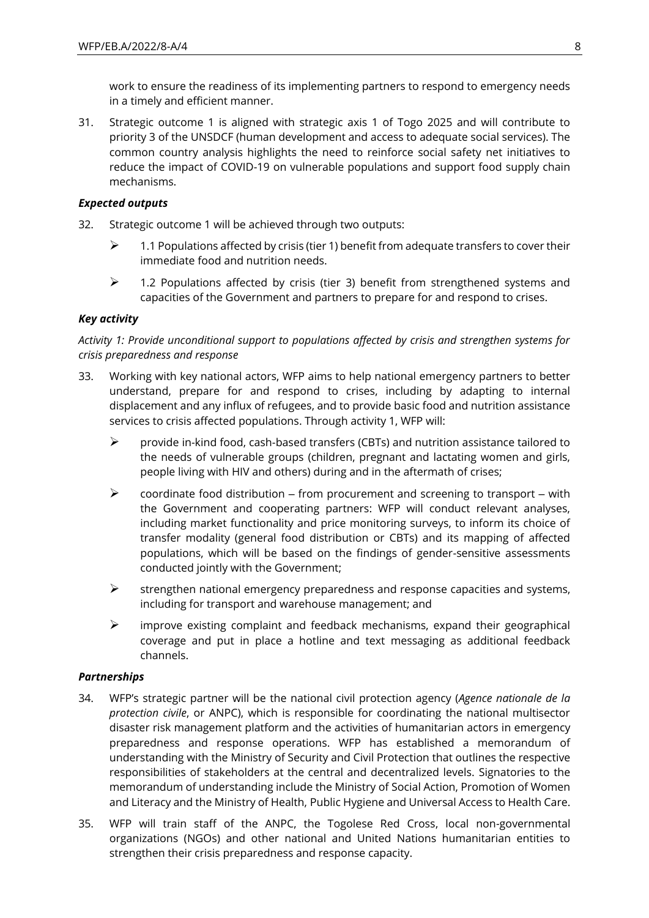work to ensure the readiness of its implementing partners to respond to emergency needs in a timely and efficient manner.

31. Strategic outcome 1 is aligned with strategic axis 1 of Togo 2025 and will contribute to priority 3 of the UNSDCF (human development and access to adequate social services). The common country analysis highlights the need to reinforce social safety net initiatives to reduce the impact of COVID-19 on vulnerable populations and support food supply chain mechanisms.

### *Expected outputs*

- 32. Strategic outcome 1 will be achieved through two outputs:
	- $\triangleright$  1.1 Populations affected by crisis (tier 1) benefit from adequate transfers to cover their immediate food and nutrition needs.
	- $\geq$  1.2 Populations affected by crisis (tier 3) benefit from strengthened systems and capacities of the Government and partners to prepare for and respond to crises.

### *Key activity*

## *Activity 1: Provide unconditional support to populations affected by crisis and strengthen systems for crisis preparedness and response*

- 33. Working with key national actors, WFP aims to help national emergency partners to better understand, prepare for and respond to crises, including by adapting to internal displacement and any influx of refugees, and to provide basic food and nutrition assistance services to crisis affected populations. Through activity 1, WFP will:
	- ➢ provide in-kind food, cash-based transfers (CBTs) and nutrition assistance tailored to the needs of vulnerable groups (children, pregnant and lactating women and girls, people living with HIV and others) during and in the aftermath of crises;
	- $\triangleright$  coordinate food distribution from procurement and screening to transport with the Government and cooperating partners: WFP will conduct relevant analyses, including market functionality and price monitoring surveys, to inform its choice of transfer modality (general food distribution or CBTs) and its mapping of affected populations, which will be based on the findings of gender-sensitive assessments conducted jointly with the Government;
	- $\triangleright$  strengthen national emergency preparedness and response capacities and systems, including for transport and warehouse management; and
	- ➢ improve existing complaint and feedback mechanisms, expand their geographical coverage and put in place a hotline and text messaging as additional feedback channels.

#### *Partnerships*

- 34. WFP's strategic partner will be the national civil protection agency (*Agence nationale de la protection civile*, or ANPC), which is responsible for coordinating the national multisector disaster risk management platform and the activities of humanitarian actors in emergency preparedness and response operations. WFP has established a memorandum of understanding with the Ministry of Security and Civil Protection that outlines the respective responsibilities of stakeholders at the central and decentralized levels. Signatories to the memorandum of understanding include the Ministry of Social Action, Promotion of Women and Literacy and the Ministry of Health, Public Hygiene and Universal Access to Health Care.
- 35. WFP will train staff of the ANPC, the Togolese Red Cross, local non-governmental organizations (NGOs) and other national and United Nations humanitarian entities to strengthen their crisis preparedness and response capacity.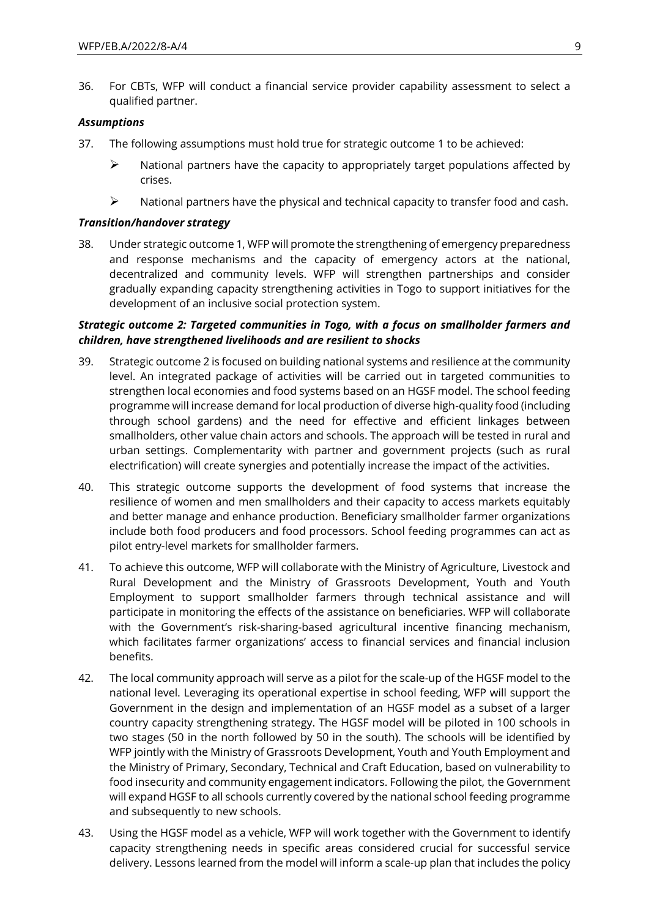36. For CBTs, WFP will conduct a financial service provider capability assessment to select a qualified partner.

#### *Assumptions*

- 37. The following assumptions must hold true for strategic outcome 1 to be achieved:
	- $\triangleright$  National partners have the capacity to appropriately target populations affected by crises.
	- ➢ National partners have the physical and technical capacity to transfer food and cash.

#### *Transition/handover strategy*

38. Under strategic outcome 1, WFP will promote the strengthening of emergency preparedness and response mechanisms and the capacity of emergency actors at the national, decentralized and community levels. WFP will strengthen partnerships and consider gradually expanding capacity strengthening activities in Togo to support initiatives for the development of an inclusive social protection system.

#### *Strategic outcome 2: Targeted communities in Togo, with a focus on smallholder farmers and children, have strengthened livelihoods and are resilient to shocks*

- 39. Strategic outcome 2 is focused on building national systems and resilience at the community level. An integrated package of activities will be carried out in targeted communities to strengthen local economies and food systems based on an HGSF model. The school feeding programme will increase demand for local production of diverse high-quality food (including through school gardens) and the need for effective and efficient linkages between smallholders, other value chain actors and schools. The approach will be tested in rural and urban settings. Complementarity with partner and government projects (such as rural electrification) will create synergies and potentially increase the impact of the activities.
- 40. This strategic outcome supports the development of food systems that increase the resilience of women and men smallholders and their capacity to access markets equitably and better manage and enhance production. Beneficiary smallholder farmer organizations include both food producers and food processors. School feeding programmes can act as pilot entry-level markets for smallholder farmers.
- 41. To achieve this outcome, WFP will collaborate with the Ministry of Agriculture, Livestock and Rural Development and the Ministry of Grassroots Development, Youth and Youth Employment to support smallholder farmers through technical assistance and will participate in monitoring the effects of the assistance on beneficiaries. WFP will collaborate with the Government's risk-sharing-based agricultural incentive financing mechanism, which facilitates farmer organizations' access to financial services and financial inclusion benefits.
- 42. The local community approach will serve as a pilot for the scale-up of the HGSF model to the national level. Leveraging its operational expertise in school feeding, WFP will support the Government in the design and implementation of an HGSF model as a subset of a larger country capacity strengthening strategy. The HGSF model will be piloted in 100 schools in two stages (50 in the north followed by 50 in the south). The schools will be identified by WFP jointly with the Ministry of Grassroots Development, Youth and Youth Employment and the Ministry of Primary, Secondary, Technical and Craft Education, based on vulnerability to food insecurity and community engagement indicators. Following the pilot, the Government will expand HGSF to all schools currently covered by the national school feeding programme and subsequently to new schools.
- 43. Using the HGSF model as a vehicle, WFP will work together with the Government to identify capacity strengthening needs in specific areas considered crucial for successful service delivery. Lessons learned from the model will inform a scale-up plan that includes the policy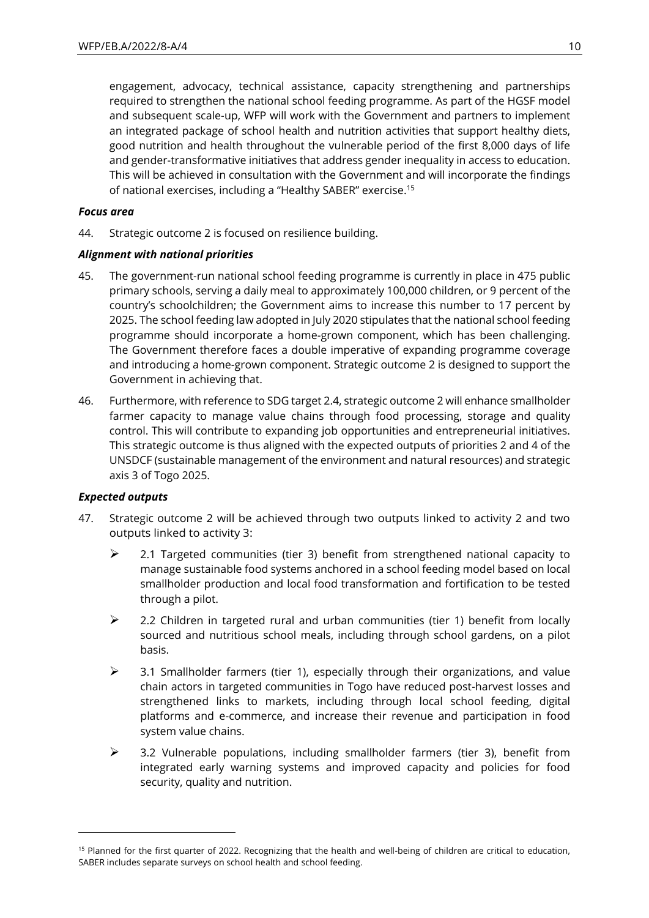engagement, advocacy, technical assistance, capacity strengthening and partnerships required to strengthen the national school feeding programme. As part of the HGSF model and subsequent scale-up, WFP will work with the Government and partners to implement an integrated package of school health and nutrition activities that support healthy diets, good nutrition and health throughout the vulnerable period of the first 8,000 days of life and gender-transformative initiatives that address gender inequality in access to education. This will be achieved in consultation with the Government and will incorporate the findings of national exercises, including a "Healthy SABER" exercise.<sup>15</sup>

#### *Focus area*

44. Strategic outcome 2 is focused on resilience building.

### *Alignment with national priorities*

- 45. The government-run national school feeding programme is currently in place in 475 public primary schools, serving a daily meal to approximately 100,000 children, or 9 percent of the country's schoolchildren; the Government aims to increase this number to 17 percent by 2025. The school feeding law adopted in July 2020 stipulates that the national school feeding programme should incorporate a home-grown component, which has been challenging. The Government therefore faces a double imperative of expanding programme coverage and introducing a home-grown component. Strategic outcome 2 is designed to support the Government in achieving that.
- 46. Furthermore, with reference to SDG target 2.4, strategic outcome 2 will enhance smallholder farmer capacity to manage value chains through food processing, storage and quality control. This will contribute to expanding job opportunities and entrepreneurial initiatives. This strategic outcome is thus aligned with the expected outputs of priorities 2 and 4 of the UNSDCF (sustainable management of the environment and natural resources) and strategic axis 3 of Togo 2025.

#### *Expected outputs*

- 47. Strategic outcome 2 will be achieved through two outputs linked to activity 2 and two outputs linked to activity 3:
	- ➢ 2.1 Targeted communities (tier 3) benefit from strengthened national capacity to manage sustainable food systems anchored in a school feeding model based on local smallholder production and local food transformation and fortification to be tested through a pilot.
	- $\triangleright$  2.2 Children in targeted rural and urban communities (tier 1) benefit from locally sourced and nutritious school meals, including through school gardens, on a pilot basis.
	- $\triangleright$  3.1 Smallholder farmers (tier 1), especially through their organizations, and value chain actors in targeted communities in Togo have reduced post-harvest losses and strengthened links to markets, including through local school feeding, digital platforms and e-commerce, and increase their revenue and participation in food system value chains.
	- $\geq$  3.2 Vulnerable populations, including smallholder farmers (tier 3), benefit from integrated early warning systems and improved capacity and policies for food security, quality and nutrition.

<sup>&</sup>lt;sup>15</sup> Planned for the first quarter of 2022. Recognizing that the health and well-being of children are critical to education, SABER includes separate surveys on school health and school feeding.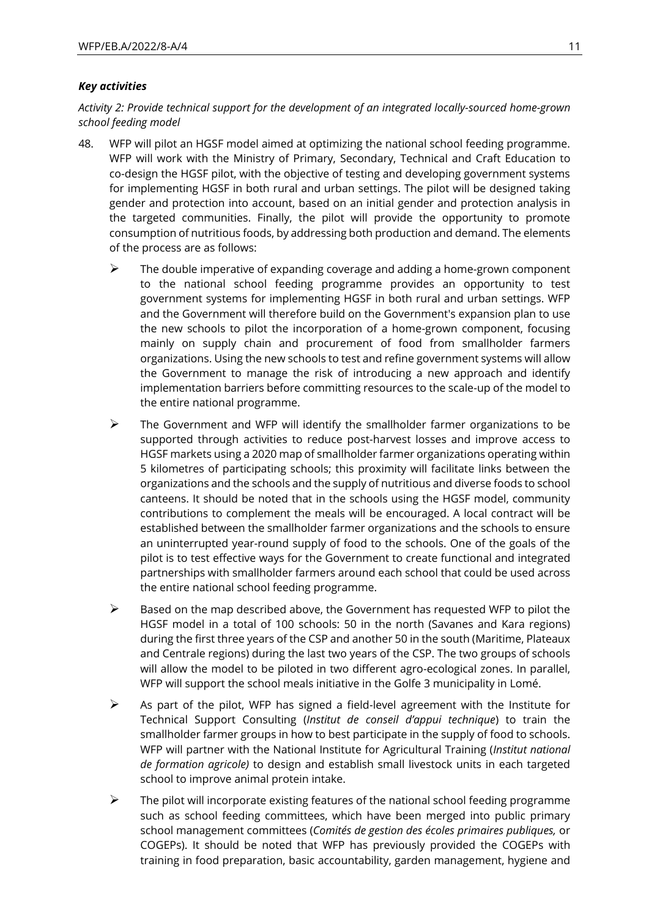### *Key activities*

*Activity 2: Provide technical support for the development of an integrated locally-sourced home-grown school feeding model* 

- 48. WFP will pilot an HGSF model aimed at optimizing the national school feeding programme. WFP will work with the Ministry of Primary, Secondary, Technical and Craft Education to co-design the HGSF pilot, with the objective of testing and developing government systems for implementing HGSF in both rural and urban settings. The pilot will be designed taking gender and protection into account, based on an initial gender and protection analysis in the targeted communities. Finally, the pilot will provide the opportunity to promote consumption of nutritious foods, by addressing both production and demand. The elements of the process are as follows:
	- $\triangleright$  The double imperative of expanding coverage and adding a home-grown component to the national school feeding programme provides an opportunity to test government systems for implementing HGSF in both rural and urban settings. WFP and the Government will therefore build on the Government's expansion plan to use the new schools to pilot the incorporation of a home-grown component, focusing mainly on supply chain and procurement of food from smallholder farmers organizations. Using the new schools to test and refine government systems will allow the Government to manage the risk of introducing a new approach and identify implementation barriers before committing resources to the scale-up of the model to the entire national programme.
	- $\triangleright$  The Government and WFP will identify the smallholder farmer organizations to be supported through activities to reduce post-harvest losses and improve access to HGSF markets using a 2020 map of smallholder farmer organizations operating within 5 kilometres of participating schools; this proximity will facilitate links between the organizations and the schools and the supply of nutritious and diverse foods to school canteens. It should be noted that in the schools using the HGSF model, community contributions to complement the meals will be encouraged. A local contract will be established between the smallholder farmer organizations and the schools to ensure an uninterrupted year-round supply of food to the schools. One of the goals of the pilot is to test effective ways for the Government to create functional and integrated partnerships with smallholder farmers around each school that could be used across the entire national school feeding programme.
	- $\triangleright$  Based on the map described above, the Government has requested WFP to pilot the HGSF model in a total of 100 schools: 50 in the north (Savanes and Kara regions) during the first three years of the CSP and another 50 in the south (Maritime, Plateaux and Centrale regions) during the last two years of the CSP. The two groups of schools will allow the model to be piloted in two different agro-ecological zones. In parallel, WFP will support the school meals initiative in the Golfe 3 municipality in Lomé.
	- $\triangleright$  As part of the pilot, WFP has signed a field-level agreement with the Institute for Technical Support Consulting (*Institut de conseil d'appui technique*) to train the smallholder farmer groups in how to best participate in the supply of food to schools. WFP will partner with the National Institute for Agricultural Training (*Institut national de formation agricole)* to design and establish small livestock units in each targeted school to improve animal protein intake.
	- $\triangleright$  The pilot will incorporate existing features of the national school feeding programme such as school feeding committees, which have been merged into public primary school management committees (*Comités de gestion des écoles primaires publiques,* or COGEPs). It should be noted that WFP has previously provided the COGEPs with training in food preparation, basic accountability, garden management, hygiene and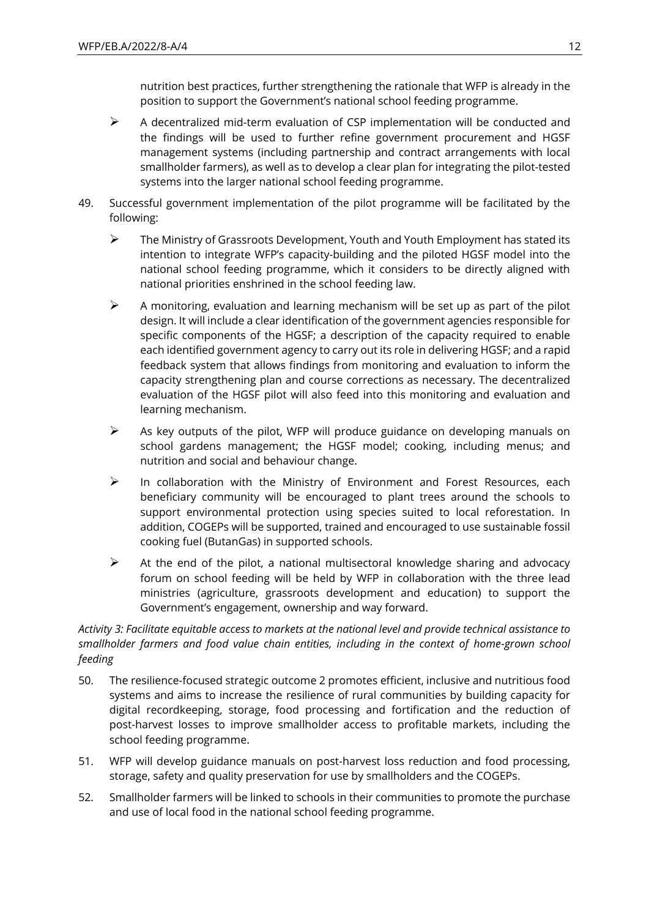nutrition best practices, further strengthening the rationale that WFP is already in the position to support the Government's national school feeding programme.

- ➢ A decentralized mid-term evaluation of CSP implementation will be conducted and the findings will be used to further refine government procurement and HGSF management systems (including partnership and contract arrangements with local smallholder farmers), as well as to develop a clear plan for integrating the pilot-tested systems into the larger national school feeding programme.
- 49. Successful government implementation of the pilot programme will be facilitated by the following:
	- ➢ The Ministry of Grassroots Development, Youth and Youth Employment has stated its intention to integrate WFP's capacity-building and the piloted HGSF model into the national school feeding programme, which it considers to be directly aligned with national priorities enshrined in the school feeding law.
	- $\triangleright$  A monitoring, evaluation and learning mechanism will be set up as part of the pilot design. It will include a clear identification of the government agencies responsible for specific components of the HGSF; a description of the capacity required to enable each identified government agency to carry out its role in delivering HGSF; and a rapid feedback system that allows findings from monitoring and evaluation to inform the capacity strengthening plan and course corrections as necessary. The decentralized evaluation of the HGSF pilot will also feed into this monitoring and evaluation and learning mechanism.
	- $\triangleright$  As key outputs of the pilot, WFP will produce guidance on developing manuals on school gardens management; the HGSF model; cooking, including menus; and nutrition and social and behaviour change.
	- ➢ In collaboration with the Ministry of Environment and Forest Resources, each beneficiary community will be encouraged to plant trees around the schools to support environmental protection using species suited to local reforestation. In addition, COGEPs will be supported, trained and encouraged to use sustainable fossil cooking fuel (ButanGas) in supported schools.
	- $\triangleright$  At the end of the pilot, a national multisectoral knowledge sharing and advocacy forum on school feeding will be held by WFP in collaboration with the three lead ministries (agriculture, grassroots development and education) to support the Government's engagement, ownership and way forward.

## *Activity 3: Facilitate equitable access to markets at the national level and provide technical assistance to smallholder farmers and food value chain entities, including in the context of home-grown school feeding*

- 50. The resilience-focused strategic outcome 2 promotes efficient, inclusive and nutritious food systems and aims to increase the resilience of rural communities by building capacity for digital recordkeeping, storage, food processing and fortification and the reduction of post-harvest losses to improve smallholder access to profitable markets, including the school feeding programme.
- 51. WFP will develop guidance manuals on post-harvest loss reduction and food processing, storage, safety and quality preservation for use by smallholders and the COGEPs.
- 52. Smallholder farmers will be linked to schools in their communities to promote the purchase and use of local food in the national school feeding programme.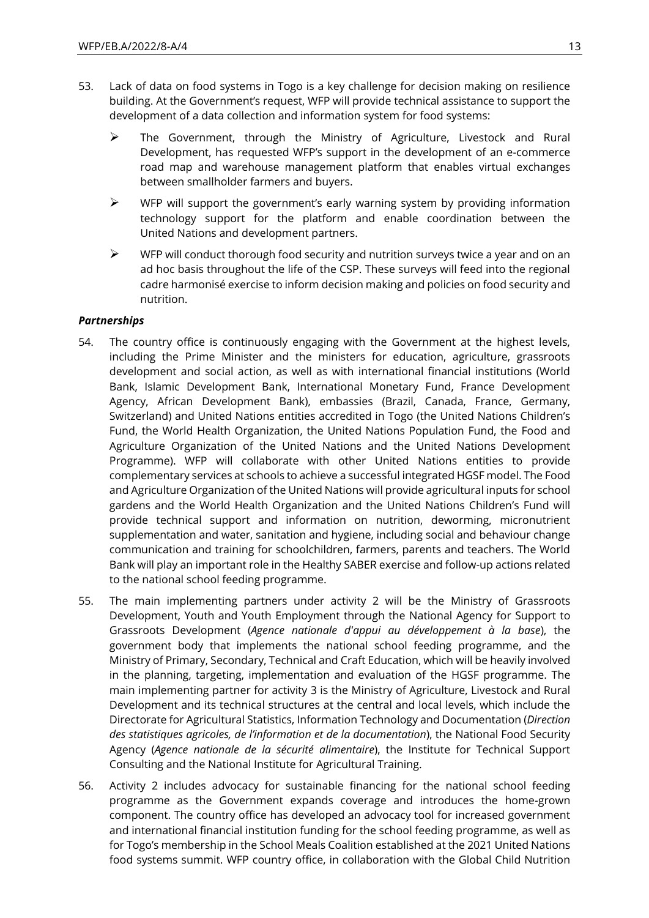- 53. Lack of data on food systems in Togo is a key challenge for decision making on resilience building. At the Government's request, WFP will provide technical assistance to support the development of a data collection and information system for food systems:
	- ➢ The Government, through the Ministry of Agriculture, Livestock and Rural Development, has requested WFP's support in the development of an e-commerce road map and warehouse management platform that enables virtual exchanges between smallholder farmers and buyers.
	- $\triangleright$  WFP will support the government's early warning system by providing information technology support for the platform and enable coordination between the United Nations and development partners.
	- $\triangleright$  WFP will conduct thorough food security and nutrition surveys twice a year and on an ad hoc basis throughout the life of the CSP. These surveys will feed into the regional cadre harmonisé exercise to inform decision making and policies on food security and nutrition.

### *Partnerships*

- 54. The country office is continuously engaging with the Government at the highest levels, including the Prime Minister and the ministers for education, agriculture, grassroots development and social action, as well as with international financial institutions (World Bank, Islamic Development Bank, International Monetary Fund, France Development Agency, African Development Bank), embassies (Brazil, Canada, France, Germany, Switzerland) and United Nations entities accredited in Togo (the United Nations Children's Fund, the World Health Organization, the United Nations Population Fund, the Food and Agriculture Organization of the United Nations and the United Nations Development Programme). WFP will collaborate with other United Nations entities to provide complementary services at schools to achieve a successful integrated HGSF model. The Food and Agriculture Organization of the United Nations will provide agricultural inputs for school gardens and the World Health Organization and the United Nations Children's Fund will provide technical support and information on nutrition, deworming, micronutrient supplementation and water, sanitation and hygiene, including social and behaviour change communication and training for schoolchildren, farmers, parents and teachers. The World Bank will play an important role in the Healthy SABER exercise and follow-up actions related to the national school feeding programme.
- 55. The main implementing partners under activity 2 will be the Ministry of Grassroots Development, Youth and Youth Employment through the National Agency for Support to Grassroots Development (*Agence nationale d'appui au développement à la base*), the government body that implements the national school feeding programme, and the Ministry of Primary, Secondary, Technical and Craft Education, which will be heavily involved in the planning, targeting, implementation and evaluation of the HGSF programme. The main implementing partner for activity 3 is the Ministry of Agriculture, Livestock and Rural Development and its technical structures at the central and local levels, which include the Directorate for Agricultural Statistics, Information Technology and Documentation (*Direction des statistiques agricoles, de l'information et de la documentation*), the National Food Security Agency (*Agence nationale de la sécurité alimentaire*), the Institute for Technical Support Consulting and the National Institute for Agricultural Training.
- 56. Activity 2 includes advocacy for sustainable financing for the national school feeding programme as the Government expands coverage and introduces the home-grown component. The country office has developed an advocacy tool for increased government and international financial institution funding for the school feeding programme, as well as for Togo's membership in the School Meals Coalition established at the 2021 United Nations food systems summit. WFP country office, in collaboration with the Global Child Nutrition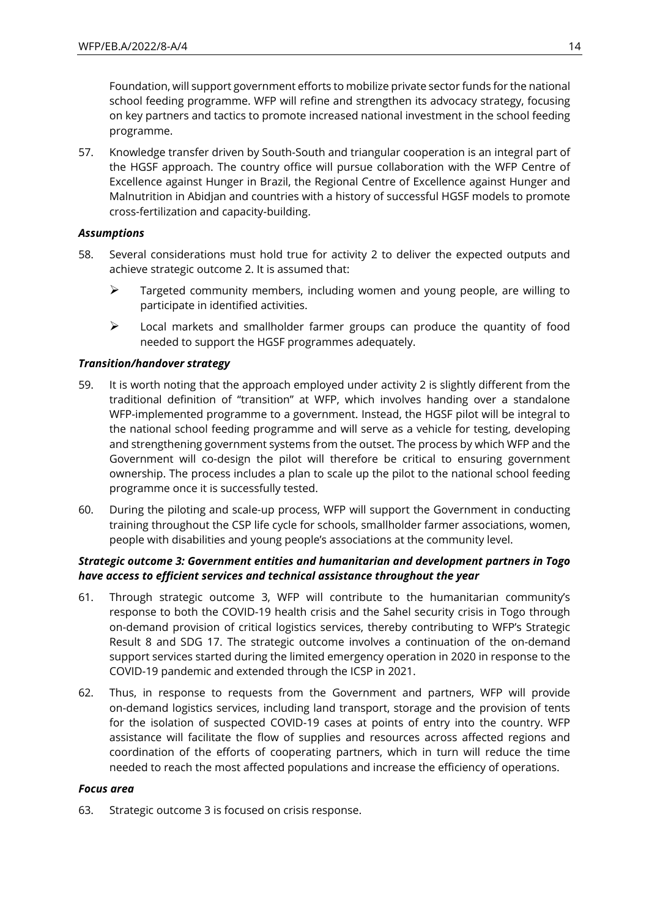Foundation, will support government efforts to mobilize private sector funds for the national school feeding programme. WFP will refine and strengthen its advocacy strategy, focusing on key partners and tactics to promote increased national investment in the school feeding programme.

57. Knowledge transfer driven by South-South and triangular cooperation is an integral part of the HGSF approach. The country office will pursue collaboration with the WFP Centre of Excellence against Hunger in Brazil, the Regional Centre of Excellence against Hunger and Malnutrition in Abidjan and countries with a history of successful HGSF models to promote cross-fertilization and capacity-building.

### *Assumptions*

- 58. Several considerations must hold true for activity 2 to deliver the expected outputs and achieve strategic outcome 2. It is assumed that:
	- ➢ Targeted community members, including women and young people, are willing to participate in identified activities.
	- ➢ Local markets and smallholder farmer groups can produce the quantity of food needed to support the HGSF programmes adequately.

### *Transition/handover strategy*

- 59. It is worth noting that the approach employed under activity 2 is slightly different from the traditional definition of "transition" at WFP, which involves handing over a standalone WFP-implemented programme to a government. Instead, the HGSF pilot will be integral to the national school feeding programme and will serve as a vehicle for testing, developing and strengthening government systems from the outset. The process by which WFP and the Government will co-design the pilot will therefore be critical to ensuring government ownership. The process includes a plan to scale up the pilot to the national school feeding programme once it is successfully tested.
- 60. During the piloting and scale-up process, WFP will support the Government in conducting training throughout the CSP life cycle for schools, smallholder farmer associations, women, people with disabilities and young people's associations at the community level.

### *Strategic outcome 3: Government entities and humanitarian and development partners in Togo have access to efficient services and technical assistance throughout the year*

- 61. Through strategic outcome 3, WFP will contribute to the humanitarian community's response to both the COVID-19 health crisis and the Sahel security crisis in Togo through on-demand provision of critical logistics services, thereby contributing to WFP's Strategic Result 8 and SDG 17. The strategic outcome involves a continuation of the on-demand support services started during the limited emergency operation in 2020 in response to the COVID-19 pandemic and extended through the ICSP in 2021.
- 62. Thus, in response to requests from the Government and partners, WFP will provide on-demand logistics services, including land transport, storage and the provision of tents for the isolation of suspected COVID-19 cases at points of entry into the country. WFP assistance will facilitate the flow of supplies and resources across affected regions and coordination of the efforts of cooperating partners, which in turn will reduce the time needed to reach the most affected populations and increase the efficiency of operations.

#### *Focus area*

63. Strategic outcome 3 is focused on crisis response.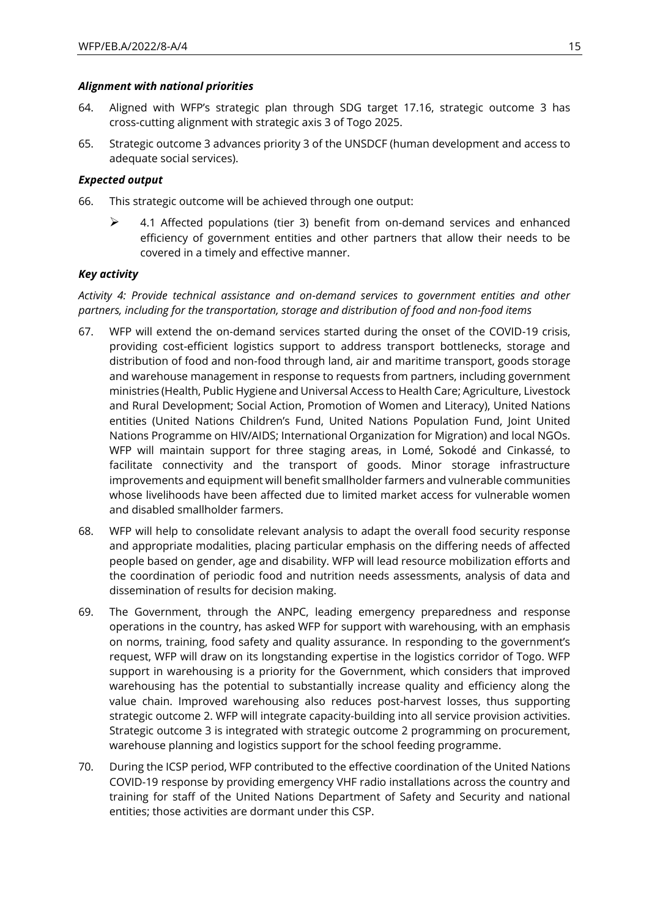### *Alignment with national priorities*

- 64. Aligned with WFP's strategic plan through SDG target 17.16, strategic outcome 3 has cross-cutting alignment with strategic axis 3 of Togo 2025.
- 65. Strategic outcome 3 advances priority 3 of the UNSDCF (human development and access to adequate social services).

### *Expected output*

- 66. This strategic outcome will be achieved through one output:
	- $\triangleright$  4.1 Affected populations (tier 3) benefit from on-demand services and enhanced efficiency of government entities and other partners that allow their needs to be covered in a timely and effective manner.

### *Key activity*

*Activity 4: Provide technical assistance and on-demand services to government entities and other partners, including for the transportation, storage and distribution of food and non-food items*

- 67. WFP will extend the on-demand services started during the onset of the COVID-19 crisis, providing cost-efficient logistics support to address transport bottlenecks, storage and distribution of food and non-food through land, air and maritime transport, goods storage and warehouse management in response to requests from partners, including government ministries (Health, Public Hygiene and Universal Access to Health Care; Agriculture, Livestock and Rural Development; Social Action, Promotion of Women and Literacy), United Nations entities (United Nations Children's Fund, United Nations Population Fund, Joint United Nations Programme on HIV/AIDS; International Organization for Migration) and local NGOs. WFP will maintain support for three staging areas, in Lomé, Sokodé and Cinkassé, to facilitate connectivity and the transport of goods. Minor storage infrastructure improvements and equipment will benefit smallholder farmers and vulnerable communities whose livelihoods have been affected due to limited market access for vulnerable women and disabled smallholder farmers.
- 68. WFP will help to consolidate relevant analysis to adapt the overall food security response and appropriate modalities, placing particular emphasis on the differing needs of affected people based on gender, age and disability. WFP will lead resource mobilization efforts and the coordination of periodic food and nutrition needs assessments, analysis of data and dissemination of results for decision making.
- 69. The Government, through the ANPC, leading emergency preparedness and response operations in the country, has asked WFP for support with warehousing, with an emphasis on norms, training, food safety and quality assurance. In responding to the government's request, WFP will draw on its longstanding expertise in the logistics corridor of Togo. WFP support in warehousing is a priority for the Government, which considers that improved warehousing has the potential to substantially increase quality and efficiency along the value chain. Improved warehousing also reduces post-harvest losses, thus supporting strategic outcome 2. WFP will integrate capacity-building into all service provision activities. Strategic outcome 3 is integrated with strategic outcome 2 programming on procurement, warehouse planning and logistics support for the school feeding programme.
- 70. During the ICSP period, WFP contributed to the effective coordination of the United Nations COVID-19 response by providing emergency VHF radio installations across the country and training for staff of the United Nations Department of Safety and Security and national entities; those activities are dormant under this CSP.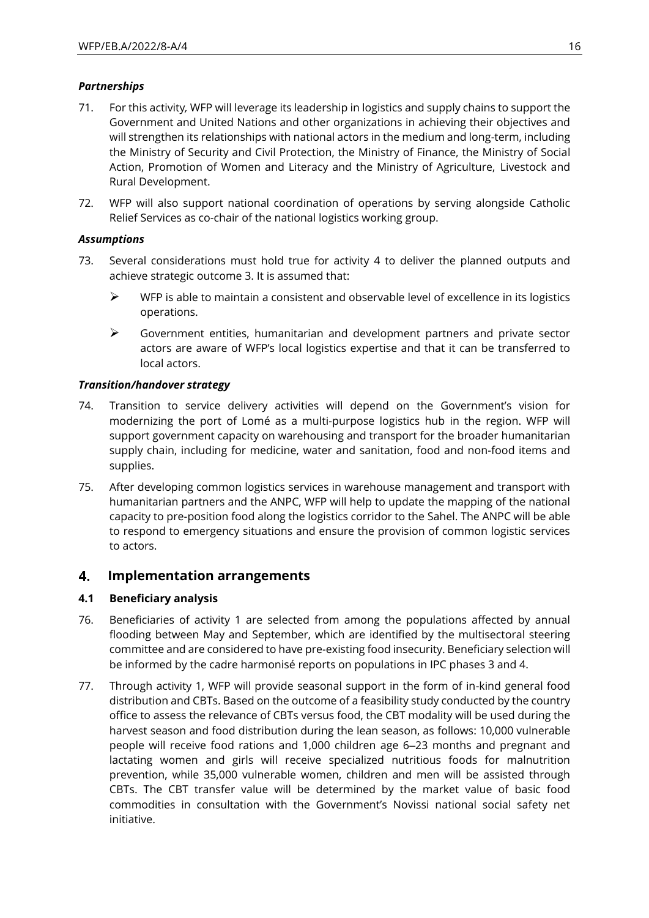### *Partnerships*

- 71. For this activity*,* WFP will leverage its leadership in logistics and supply chains to support the Government and United Nations and other organizations in achieving their objectives and will strengthen its relationships with national actors in the medium and long-term, including the Ministry of Security and Civil Protection, the Ministry of Finance, the Ministry of Social Action, Promotion of Women and Literacy and the Ministry of Agriculture, Livestock and Rural Development.
- 72. WFP will also support national coordination of operations by serving alongside Catholic Relief Services as co-chair of the national logistics working group.

### *Assumptions*

- 73. Several considerations must hold true for activity 4 to deliver the planned outputs and achieve strategic outcome 3. It is assumed that:
	- $\triangleright$  WFP is able to maintain a consistent and observable level of excellence in its logistics operations.
	- ➢ Government entities, humanitarian and development partners and private sector actors are aware of WFP's local logistics expertise and that it can be transferred to local actors.

### *Transition/handover strategy*

- 74. Transition to service delivery activities will depend on the Government's vision for modernizing the port of Lomé as a multi-purpose logistics hub in the region. WFP will support government capacity on warehousing and transport for the broader humanitarian supply chain, including for medicine, water and sanitation, food and non-food items and supplies.
- 75. After developing common logistics services in warehouse management and transport with humanitarian partners and the ANPC, WFP will help to update the mapping of the national capacity to pre-position food along the logistics corridor to the Sahel. The ANPC will be able to respond to emergency situations and ensure the provision of common logistic services to actors.

#### 4. **Implementation arrangements**

### **4.1 Beneficiary analysis**

- 76. Beneficiaries of activity 1 are selected from among the populations affected by annual flooding between May and September, which are identified by the multisectoral steering committee and are considered to have pre-existing food insecurity. Beneficiary selection will be informed by the cadre harmonisé reports on populations in IPC phases 3 and 4.
- 77. Through activity 1, WFP will provide seasonal support in the form of in-kind general food distribution and CBTs. Based on the outcome of a feasibility study conducted by the country office to assess the relevance of CBTs versus food, the CBT modality will be used during the harvest season and food distribution during the lean season, as follows: 10,000 vulnerable people will receive food rations and 1,000 children age 6‒23 months and pregnant and lactating women and girls will receive specialized nutritious foods for malnutrition prevention, while 35,000 vulnerable women, children and men will be assisted through CBTs. The CBT transfer value will be determined by the market value of basic food commodities in consultation with the Government's Novissi national social safety net initiative.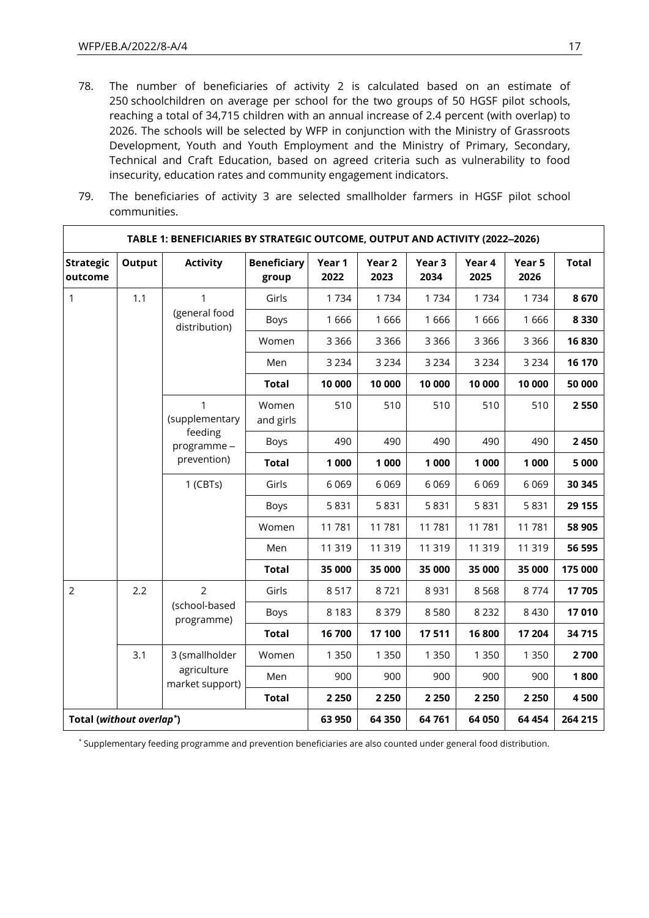- 78. The number of beneficiaries of activity 2 is calculated based on an estimate of 250 schoolchildren on average per school for the two groups of 50 HGSF pilot schools, reaching a total of 34,715 children with an annual increase of 2.4 percent (with overlap) to 2026. The schools will be selected by WFP in conjunction with the Ministry of Grassroots Development, Youth and Youth Employment and the Ministry of Primary, Secondary, Technical and Craft Education, based on agreed criteria such as vulnerability to food insecurity, education rates and community engagement indicators.
- 79. The beneficiaries of activity 3 are selected smallholder farmers in HGSF pilot school communities.

| TABLE 1: BENEFICIARIES BY STRATEGIC OUTCOME, OUTPUT AND ACTIVITY (2022-2026) |        |                                                             |                             |                |                           |                           |                |                |              |
|------------------------------------------------------------------------------|--------|-------------------------------------------------------------|-----------------------------|----------------|---------------------------|---------------------------|----------------|----------------|--------------|
| <b>Strategic</b><br>outcome                                                  | Output | <b>Activity</b>                                             | <b>Beneficiary</b><br>group | Year 1<br>2022 | Year <sub>2</sub><br>2023 | Year <sub>3</sub><br>2034 | Year 4<br>2025 | Year 5<br>2026 | <b>Total</b> |
| $\mathbf{1}$                                                                 | 1.1    | $\mathbf{1}$                                                | Girls                       | 1734           | 1734                      | 1734                      | 1734           | 1734           | 8670         |
|                                                                              |        | (general food<br>distribution)                              | Boys                        | 1666           | 1666                      | 1666                      | 1666           | 1666           | 8 3 3 0      |
|                                                                              |        |                                                             | Women                       | 3 3 6 6        | 3 3 6 6                   | 3 3 6 6                   | 3 3 6 6        | 3 3 6 6        | 16830        |
|                                                                              |        |                                                             | Men                         | 3 2 3 4        | 3 2 3 4                   | 3 2 3 4                   | 3 2 3 4        | 3 2 3 4        | 16 170       |
|                                                                              |        |                                                             | <b>Total</b>                | 10 000         | 10 000                    | 10 000                    | 10 000         | 10 000         | 50 000       |
|                                                                              |        | 1<br>(supplementary<br>feeding<br>programme-<br>prevention) | Women<br>and girls          | 510            | 510                       | 510                       | 510            | 510            | 2550         |
|                                                                              |        |                                                             | Boys                        | 490            | 490                       | 490                       | 490            | 490            | 2 4 5 0      |
|                                                                              |        |                                                             | <b>Total</b>                | 1 000          | 1 000                     | 1 000                     | 1 000          | 1 000          | 5 000        |
|                                                                              |        | $1$ (CBTs)                                                  | Girls                       | 6069           | 6 0 6 9                   | 6069                      | 6069           | 6 0 6 9        | 30 345       |
|                                                                              |        |                                                             | Boys                        | 5831           | 5831                      | 5831                      | 5831           | 5831           | 29 155       |
|                                                                              |        |                                                             | Women                       | 11781          | 11781                     | 11 781                    | 11781          | 11781          | 58 905       |
|                                                                              |        |                                                             | Men                         | 11 319         | 11 319                    | 11 319                    | 11 319         | 11 319         | 56 595       |
|                                                                              |        |                                                             | <b>Total</b>                | 35 000         | 35 000                    | 35 000                    | 35 000         | 35 000         | 175 000      |
| $\overline{2}$                                                               | 2.2    | $\overline{2}$                                              | Girls                       | 8517           | 8721                      | 8931                      | 8568           | 8774           | 17705        |
| 3.1                                                                          |        | (school-based<br>programme)                                 | Boys                        | 8 1 8 3        | 8 3 7 9                   | 8580                      | 8 2 3 2        | 8 4 3 0        | 17010        |
|                                                                              |        |                                                             | <b>Total</b>                | 16700          | 17 100                    | 17511                     | 16800          | 17 204         | 34715        |
|                                                                              |        | 3 (smallholder<br>agriculture<br>market support)            | Women                       | 1 3 5 0        | 1 3 5 0                   | 1 3 5 0                   | 1 3 5 0        | 1 3 5 0        | 2700         |
|                                                                              |        |                                                             | Men                         | 900            | 900                       | 900                       | 900            | 900            | 1800         |
|                                                                              |        |                                                             | <b>Total</b>                | 2 2 5 0        | 2 2 5 0                   | 2 2 5 0                   | 2 2 5 0        | 2 2 5 0        | 4500         |
| Total (without overlap*)                                                     |        |                                                             | 63 950                      | 64 350         | 64761                     | 64 050                    | 64 454         | 264 215        |              |

*\** Supplementary feeding programme and prevention beneficiaries are also counted under general food distribution.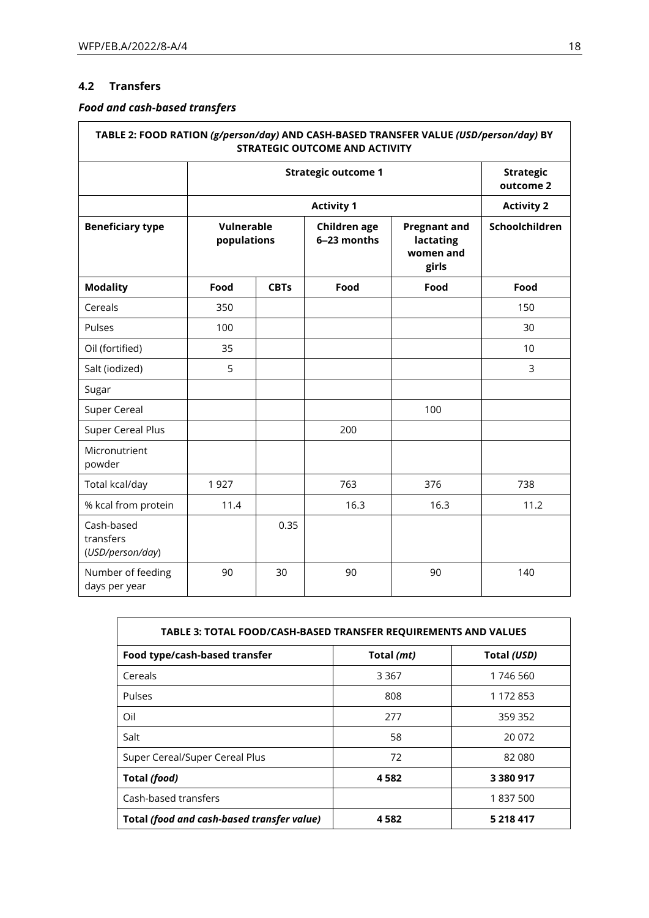### **4.2 Transfers**

## *Food and cash-based transfers*

| TABLE 2: FOOD RATION (g/person/day) AND CASH-BASED TRANSFER VALUE (USD/person/day) BY<br><b>STRATEGIC OUTCOME AND ACTIVITY</b> |                                  |                               |                             |                                                        |                   |
|--------------------------------------------------------------------------------------------------------------------------------|----------------------------------|-------------------------------|-----------------------------|--------------------------------------------------------|-------------------|
|                                                                                                                                |                                  | <b>Strategic</b><br>outcome 2 |                             |                                                        |                   |
|                                                                                                                                |                                  |                               | <b>Activity 1</b>           |                                                        | <b>Activity 2</b> |
| <b>Beneficiary type</b>                                                                                                        | <b>Vulnerable</b><br>populations |                               | Children age<br>6-23 months | <b>Pregnant and</b><br>lactating<br>women and<br>girls | Schoolchildren    |
| <b>Modality</b>                                                                                                                | Food                             | <b>CBTs</b>                   | Food                        | Food                                                   | Food              |
| Cereals                                                                                                                        | 350                              |                               |                             |                                                        | 150               |
| Pulses                                                                                                                         | 100                              |                               |                             |                                                        | 30                |
| Oil (fortified)                                                                                                                | 35                               |                               |                             |                                                        | 10                |
| Salt (iodized)                                                                                                                 | 5                                |                               |                             |                                                        | 3                 |
| Sugar                                                                                                                          |                                  |                               |                             |                                                        |                   |
| <b>Super Cereal</b>                                                                                                            |                                  |                               |                             | 100                                                    |                   |
| <b>Super Cereal Plus</b>                                                                                                       |                                  |                               | 200                         |                                                        |                   |
| Micronutrient<br>powder                                                                                                        |                                  |                               |                             |                                                        |                   |
| Total kcal/day                                                                                                                 | 1927                             |                               | 763                         | 376                                                    | 738               |
| % kcal from protein                                                                                                            | 11.4                             |                               | 16.3                        | 16.3                                                   | 11.2              |
| Cash-based<br>transfers<br>(USD/person/day)                                                                                    |                                  | 0.35                          |                             |                                                        |                   |
| Number of feeding<br>days per year                                                                                             | 90                               | 30                            | 90                          | 90                                                     | 140               |

| TABLE 3: TOTAL FOOD/CASH-BASED TRANSFER REQUIREMENTS AND VALUES |            |             |  |  |
|-----------------------------------------------------------------|------------|-------------|--|--|
| Food type/cash-based transfer                                   | Total (mt) | Total (USD) |  |  |
| Cereals                                                         | 3 3 6 7    | 1746 560    |  |  |
| Pulses                                                          | 808        | 1 172 853   |  |  |
| Oil                                                             | 277        | 359 352     |  |  |
| Salt                                                            | 58         | 20 072      |  |  |
| Super Cereal/Super Cereal Plus                                  | 72         | 82 080      |  |  |
| Total (food)                                                    | 4582       | 3 380 917   |  |  |
| Cash-based transfers                                            |            | 1837500     |  |  |
| Total (food and cash-based transfer value)                      | 4 5 8 2    | 5 218 417   |  |  |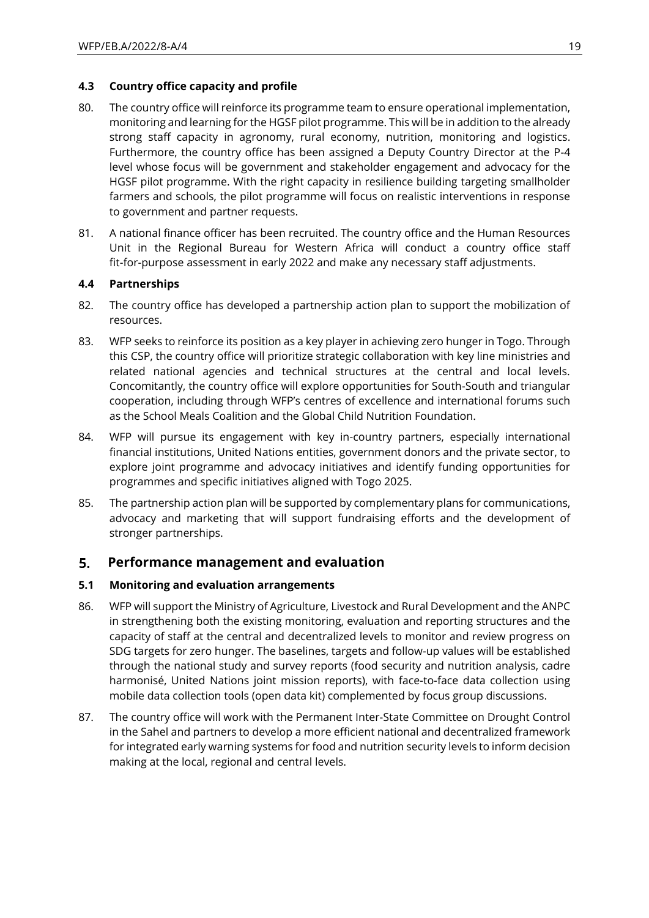### **4.3 Country office capacity and profile**

- 80. The country office will reinforce its programme team to ensure operational implementation, monitoring and learning for the HGSF pilot programme. This will be in addition to the already strong staff capacity in agronomy, rural economy, nutrition, monitoring and logistics. Furthermore, the country office has been assigned a Deputy Country Director at the P-4 level whose focus will be government and stakeholder engagement and advocacy for the HGSF pilot programme. With the right capacity in resilience building targeting smallholder farmers and schools, the pilot programme will focus on realistic interventions in response to government and partner requests.
- 81. A national finance officer has been recruited. The country office and the Human Resources Unit in the Regional Bureau for Western Africa will conduct a country office staff fit-for-purpose assessment in early 2022 and make any necessary staff adjustments.

### **4.4 Partnerships**

- 82. The country office has developed a partnership action plan to support the mobilization of resources.
- 83. WFP seeks to reinforce its position as a key player in achieving zero hunger in Togo. Through this CSP, the country office will prioritize strategic collaboration with key line ministries and related national agencies and technical structures at the central and local levels. Concomitantly, the country office will explore opportunities for South-South and triangular cooperation, including through WFP's centres of excellence and international forums such as the School Meals Coalition and the Global Child Nutrition Foundation.
- 84. WFP will pursue its engagement with key in-country partners, especially international financial institutions, United Nations entities, government donors and the private sector, to explore joint programme and advocacy initiatives and identify funding opportunities for programmes and specific initiatives aligned with Togo 2025.
- 85. The partnership action plan will be supported by complementary plans for communications, advocacy and marketing that will support fundraising efforts and the development of stronger partnerships.

#### 5. **Performance management and evaluation**

#### **5.1 Monitoring and evaluation arrangements**

- 86. WFP will support the Ministry of Agriculture, Livestock and Rural Development and the ANPC in strengthening both the existing monitoring, evaluation and reporting structures and the capacity of staff at the central and decentralized levels to monitor and review progress on SDG targets for zero hunger. The baselines, targets and follow-up values will be established through the national study and survey reports (food security and nutrition analysis, cadre harmonisé, United Nations joint mission reports), with face-to-face data collection using mobile data collection tools (open data kit) complemented by focus group discussions.
- 87. The country office will work with the Permanent Inter-State Committee on Drought Control in the Sahel and partners to develop a more efficient national and decentralized framework for integrated early warning systems for food and nutrition security levels to inform decision making at the local, regional and central levels.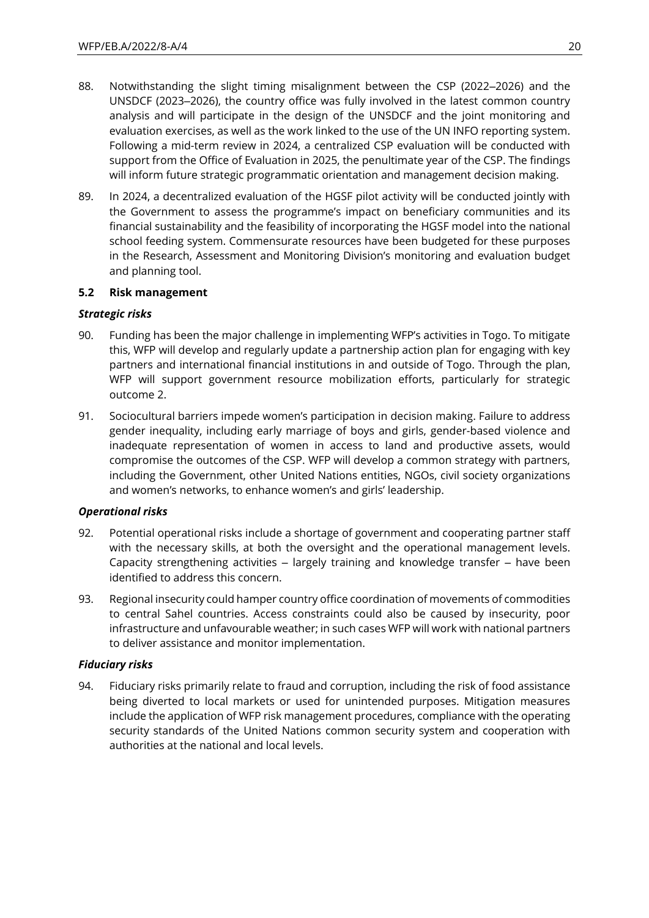- 88. Notwithstanding the slight timing misalignment between the CSP (2022–2026) and the UNSDCF (2023-2026), the country office was fully involved in the latest common country analysis and will participate in the design of the UNSDCF and the joint monitoring and evaluation exercises, as well as the work linked to the use of the UN INFO reporting system. Following a mid-term review in 2024, a centralized CSP evaluation will be conducted with support from the Office of Evaluation in 2025, the penultimate year of the CSP. The findings will inform future strategic programmatic orientation and management decision making.
- 89. In 2024, a decentralized evaluation of the HGSF pilot activity will be conducted jointly with the Government to assess the programme's impact on beneficiary communities and its financial sustainability and the feasibility of incorporating the HGSF model into the national school feeding system. Commensurate resources have been budgeted for these purposes in the Research, Assessment and Monitoring Division's monitoring and evaluation budget and planning tool.

### **5.2 Risk management**

### *Strategic risks*

- 90. Funding has been the major challenge in implementing WFP's activities in Togo. To mitigate this, WFP will develop and regularly update a partnership action plan for engaging with key partners and international financial institutions in and outside of Togo. Through the plan, WFP will support government resource mobilization efforts, particularly for strategic outcome 2.
- 91. Sociocultural barriers impede women's participation in decision making. Failure to address gender inequality, including early marriage of boys and girls, gender-based violence and inadequate representation of women in access to land and productive assets, would compromise the outcomes of the CSP. WFP will develop a common strategy with partners, including the Government, other United Nations entities, NGOs, civil society organizations and women's networks, to enhance women's and girls' leadership.

#### *Operational risks*

- 92. Potential operational risks include a shortage of government and cooperating partner staff with the necessary skills, at both the oversight and the operational management levels. Capacity strengthening activities – largely training and knowledge transfer – have been identified to address this concern.
- 93. Regional insecurity could hamper country office coordination of movements of commodities to central Sahel countries. Access constraints could also be caused by insecurity, poor infrastructure and unfavourable weather; in such cases WFP will work with national partners to deliver assistance and monitor implementation.

### *Fiduciary risks*

94. Fiduciary risks primarily relate to fraud and corruption, including the risk of food assistance being diverted to local markets or used for unintended purposes. Mitigation measures include the application of WFP risk management procedures, compliance with the operating security standards of the United Nations common security system and cooperation with authorities at the national and local levels.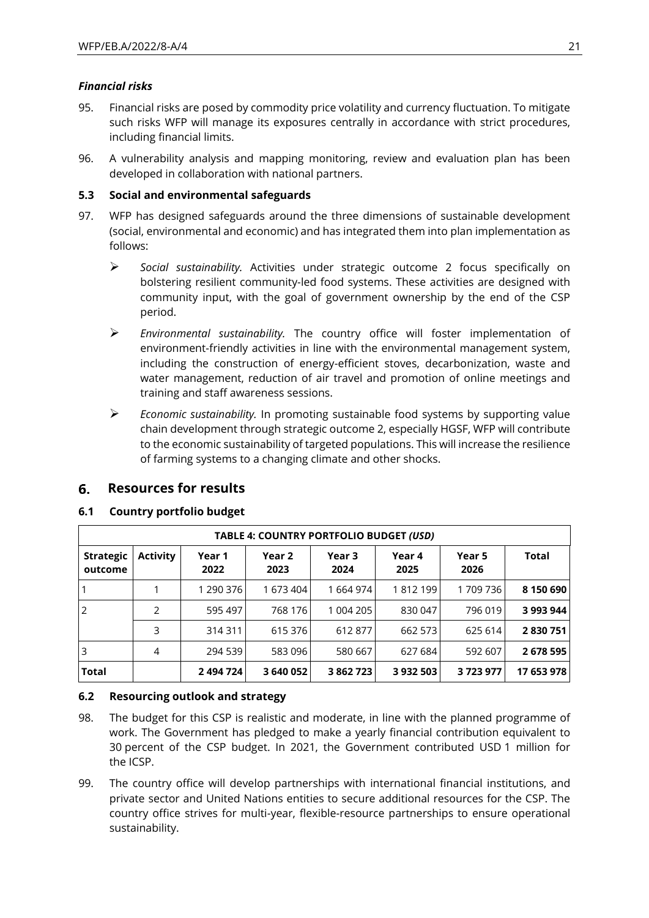### *Financial risks*

- 95. Financial risks are posed by commodity price volatility and currency fluctuation. To mitigate such risks WFP will manage its exposures centrally in accordance with strict procedures, including financial limits.
- 96. A vulnerability analysis and mapping monitoring, review and evaluation plan has been developed in collaboration with national partners.

### **5.3 Social and environmental safeguards**

- 97. WFP has designed safeguards around the three dimensions of sustainable development (social, environmental and economic) and has integrated them into plan implementation as follows:
	- ➢ *Social sustainability.* Activities under strategic outcome 2 focus specifically on bolstering resilient community-led food systems. These activities are designed with community input, with the goal of government ownership by the end of the CSP period.
	- ➢ *Environmental sustainability.* The country office will foster implementation of environment-friendly activities in line with the environmental management system, including the construction of energy-efficient stoves, decarbonization, waste and water management, reduction of air travel and promotion of online meetings and training and staff awareness sessions.
	- ➢ *Economic sustainability.* In promoting sustainable food systems by supporting value chain development through strategic outcome 2, especially HGSF, WFP will contribute to the economic sustainability of targeted populations. This will increase the resilience of farming systems to a changing climate and other shocks.

#### 6. **Resources for results**

#### **6.1 Country portfolio budget**

| TABLE 4: COUNTRY PORTFOLIO BUDGET (USD) |                 |                |                |                |                |                |              |
|-----------------------------------------|-----------------|----------------|----------------|----------------|----------------|----------------|--------------|
| <b>Strategic</b><br>outcome             | <b>Activity</b> | Year 1<br>2022 | Year 2<br>2023 | Year 3<br>2024 | Year 4<br>2025 | Year 5<br>2026 | <b>Total</b> |
|                                         |                 | 1 290 376      | 1 673 404      | 1 664 974      | 1812199        | 1709736        | 8 150 690    |
| $\overline{2}$                          | 2               | 595 497        | 768 176        | 1 004 205      | 830 047        | 796 019        | 3 993 944    |
|                                         | 3               | 314 311        | 615 376        | 612877         | 662 573        | 625 614        | 2830751      |
| 3                                       | 4               | 294 539        | 583 096        | 580 667        | 627 684        | 592 607        | 2678595      |
| Total                                   |                 | 2 494 724      | 3 640 052      | 3 862 723      | 3932503        | 3723977        | 17 653 978   |

### **6.2 Resourcing outlook and strategy**

- 98. The budget for this CSP is realistic and moderate, in line with the planned programme of work. The Government has pledged to make a yearly financial contribution equivalent to 30 percent of the CSP budget. In 2021, the Government contributed USD 1 million for the ICSP.
- 99. The country office will develop partnerships with international financial institutions, and private sector and United Nations entities to secure additional resources for the CSP. The country office strives for multi-year, flexible-resource partnerships to ensure operational sustainability.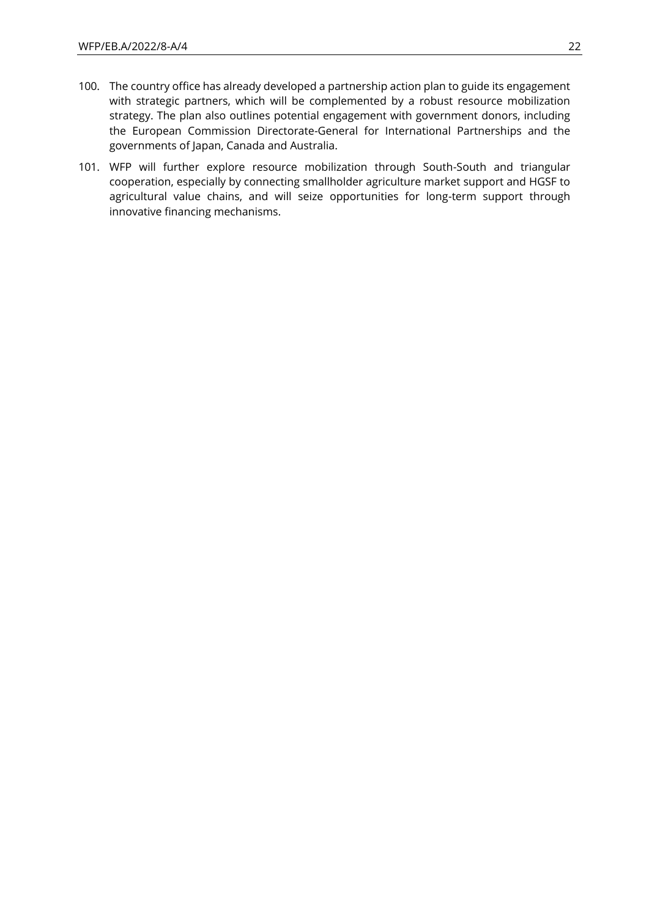- 100. The country office has already developed a partnership action plan to guide its engagement with strategic partners, which will be complemented by a robust resource mobilization strategy. The plan also outlines potential engagement with government donors, including the European Commission Directorate-General for International Partnerships and the governments of Japan, Canada and Australia.
- 101. WFP will further explore resource mobilization through South-South and triangular cooperation, especially by connecting smallholder agriculture market support and HGSF to agricultural value chains, and will seize opportunities for long-term support through innovative financing mechanisms.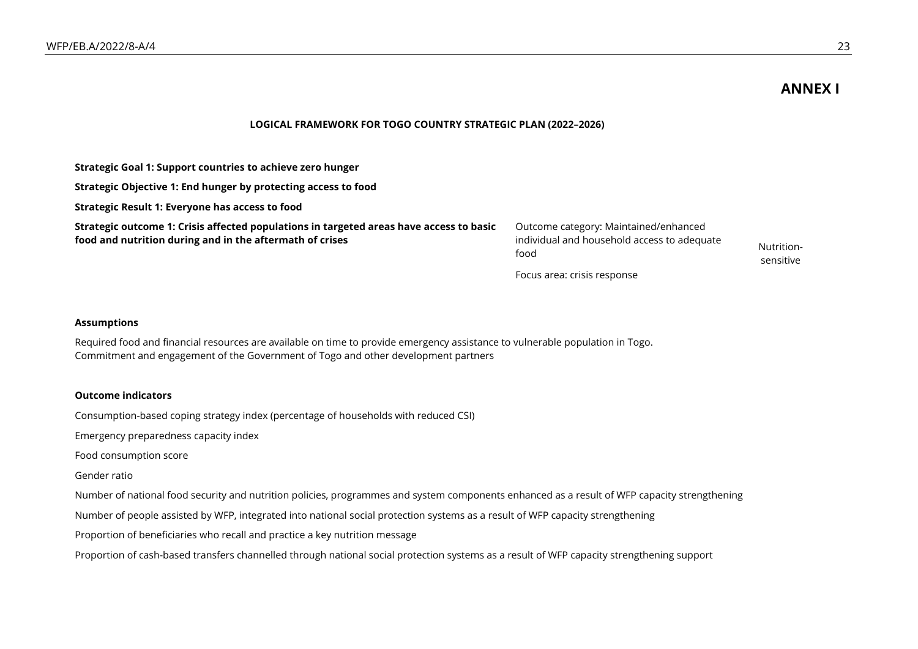## **ANNEX I**

#### **LOGICAL FRAMEWORK FOR TOGO COUNTRY STRATEGIC PLAN (2022–2026)**

| Strategic Goal 1: Support countries to achieve zero hunger                                                                                          |                                                                                              |                         |
|-----------------------------------------------------------------------------------------------------------------------------------------------------|----------------------------------------------------------------------------------------------|-------------------------|
| Strategic Objective 1: End hunger by protecting access to food                                                                                      |                                                                                              |                         |
| Strategic Result 1: Everyone has access to food                                                                                                     |                                                                                              |                         |
| Strategic outcome 1: Crisis affected populations in targeted areas have access to basic<br>food and nutrition during and in the aftermath of crises | Outcome category: Maintained/enhanced<br>individual and household access to adequate<br>food | Nutrition-<br>sensitive |
|                                                                                                                                                     | Focus area: crisis response                                                                  |                         |

#### **Assumptions**

Required food and financial resources are available on time to provide emergency assistance to vulnerable population in Togo. Commitment and engagement of the Government of Togo and other development partners

#### **Outcome indicators**

Consumption-based coping strategy index (percentage of households with reduced CSI)

Emergency preparedness capacity index

Food consumption score

Gender ratio

Number of national food security and nutrition policies, programmes and system components enhanced as a result of WFP capacity strengthening

Number of people assisted by WFP, integrated into national social protection systems as a result of WFP capacity strengthening

Proportion of beneficiaries who recall and practice a key nutrition message

Proportion of cash-based transfers channelled through national social protection systems as a result of WFP capacity strengthening support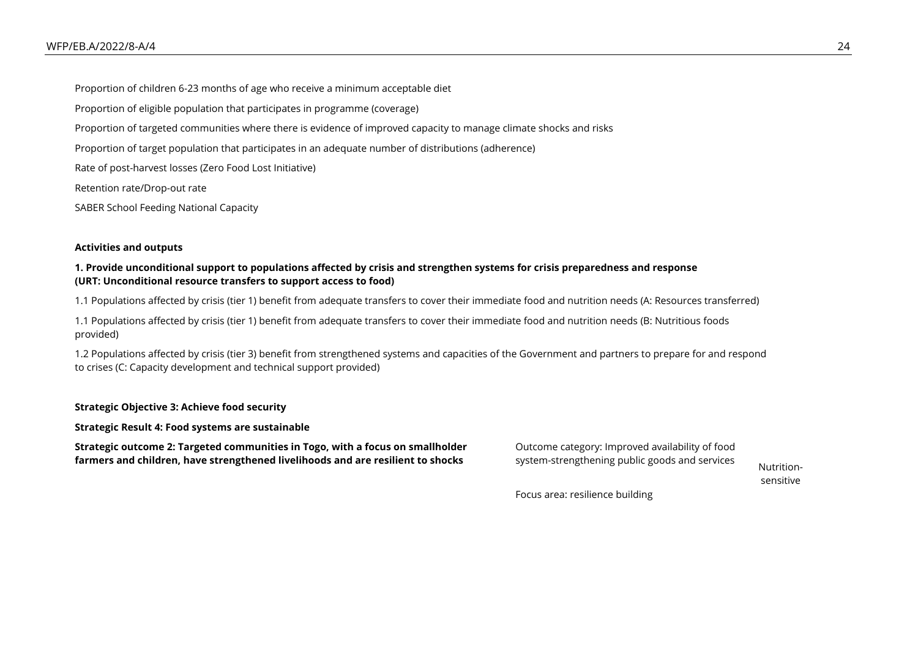Proportion of children 6-23 months of age who receive a minimum acceptable diet Proportion of eligible population that participates in programme (coverage) Proportion of targeted communities where there is evidence of improved capacity to manage climate shocks and risks Proportion of target population that participates in an adequate number of distributions (adherence) Rate of post-harvest losses (Zero Food Lost Initiative) Retention rate/Drop-out rate

SABER School Feeding National Capacity

#### **Activities and outputs**

#### **1. Provide unconditional support to populations affected by crisis and strengthen systems for crisis preparedness and response (URT: Unconditional resource transfers to support access to food)**

1.1 Populations affected by crisis (tier 1) benefit from adequate transfers to cover their immediate food and nutrition needs (A: Resources transferred)

1.1 Populations affected by crisis (tier 1) benefit from adequate transfers to cover their immediate food and nutrition needs (B: Nutritious foods provided)

1.2 Populations affected by crisis (tier 3) benefit from strengthened systems and capacities of the Government and partners to prepare for and respond to crises (C: Capacity development and technical support provided)

**Strategic Objective 3: Achieve food security**

**Strategic Result 4: Food systems are sustainable**

**Strategic outcome 2: Targeted communities in Togo, with a focus on smallholder farmers and children, have strengthened livelihoods and are resilient to shocks**

Outcome category: Improved availability of food system-strengthening public goods and services<br>Nutrition-

sensitive

Focus area: resilience building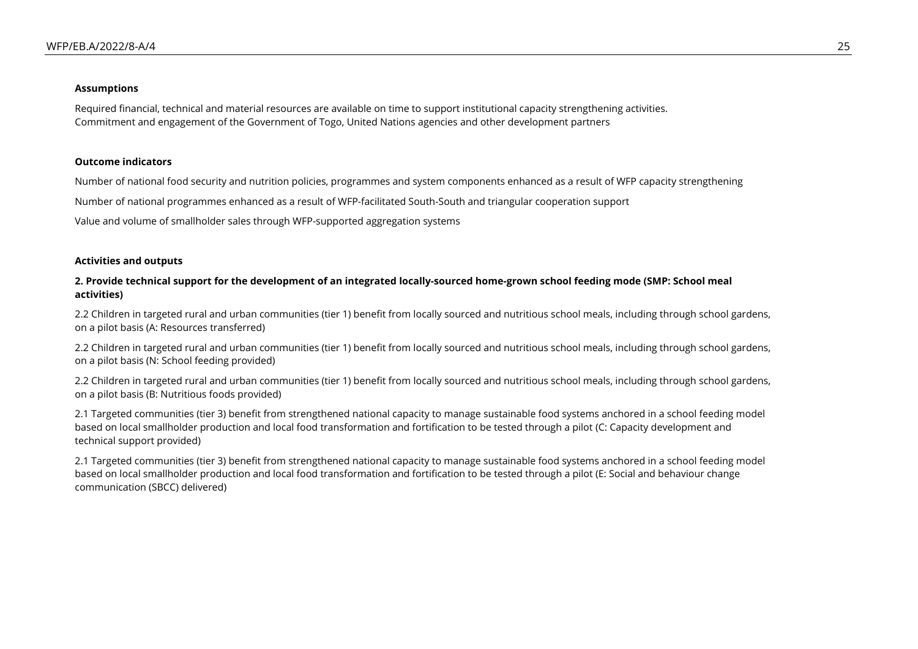#### **Assumptions**

Required financial, technical and material resources are available on time to support institutional capacity strengthening activities. Commitment and engagement of the Government of Togo, United Nations agencies and other development partners

#### **Outcome indicators**

Number of national food security and nutrition policies, programmes and system components enhanced as a result of WFP capacity strengthening

Number of national programmes enhanced as a result of WFP-facilitated South-South and triangular cooperation support

Value and volume of smallholder sales through WFP-supported aggregation systems

#### **Activities and outputs**

#### **2. Provide technical support for the development of an integrated locally-sourced home-grown school feeding mode (SMP: School meal activities)**

2.2 Children in targeted rural and urban communities (tier 1) benefit from locally sourced and nutritious school meals, including through school gardens, on a pilot basis (A: Resources transferred)

2.2 Children in targeted rural and urban communities (tier 1) benefit from locally sourced and nutritious school meals, including through school gardens, on a pilot basis (N: School feeding provided)

2.2 Children in targeted rural and urban communities (tier 1) benefit from locally sourced and nutritious school meals, including through school gardens, on a pilot basis (B: Nutritious foods provided)

2.1 Targeted communities (tier 3) benefit from strengthened national capacity to manage sustainable food systems anchored in a school feeding model based on local smallholder production and local food transformation and fortification to be tested through a pilot (C: Capacity development and technical support provided)

2.1 Targeted communities (tier 3) benefit from strengthened national capacity to manage sustainable food systems anchored in a school feeding model based on local smallholder production and local food transformation and fortification to be tested through a pilot (E: Social and behaviour change communication (SBCC) delivered)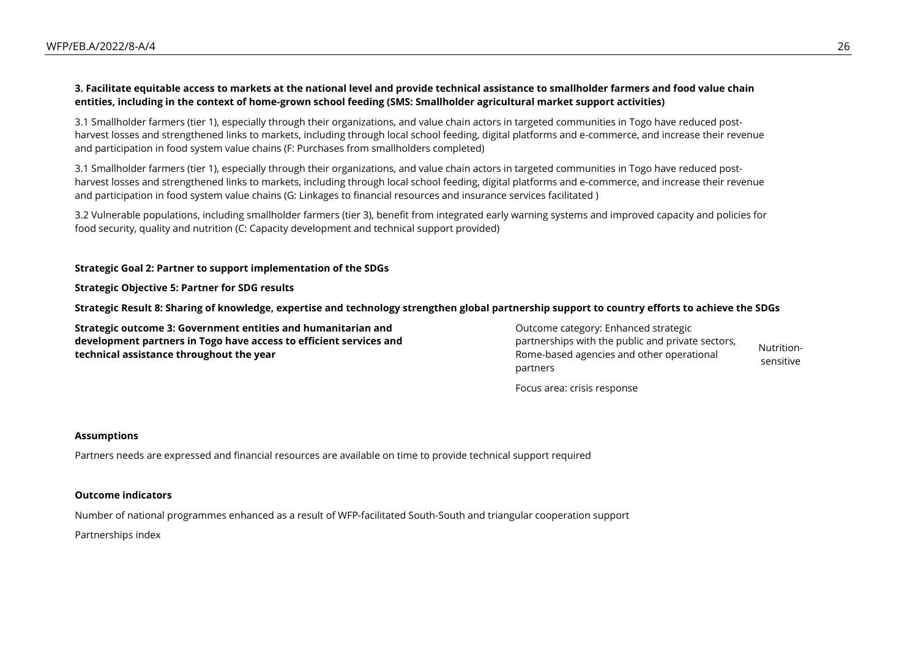#### **3. Facilitate equitable access to markets at the national level and provide technical assistance to smallholder farmers and food value chain entities, including in the context of home-grown school feeding (SMS: Smallholder agricultural market support activities)**

3.1 Smallholder farmers (tier 1), especially through their organizations, and value chain actors in targeted communities in Togo have reduced postharvest losses and strengthened links to markets, including through local school feeding, digital platforms and e-commerce, and increase their revenue and participation in food system value chains (F: Purchases from smallholders completed)

3.1 Smallholder farmers (tier 1), especially through their organizations, and value chain actors in targeted communities in Togo have reduced postharvest losses and strengthened links to markets, including through local school feeding, digital platforms and e-commerce, and increase their revenue and participation in food system value chains (G: Linkages to financial resources and insurance services facilitated )

3.2 Vulnerable populations, including smallholder farmers (tier 3), benefit from integrated early warning systems and improved capacity and policies for food security, quality and nutrition (C: Capacity development and technical support provided)

#### **Strategic Goal 2: Partner to support implementation of the SDGs**

**Strategic Objective 5: Partner for SDG results**

**Strategic Result 8: Sharing of knowledge, expertise and technology strengthen global partnership support to country efforts to achieve the SDGs**

**Strategic outcome 3: Government entities and humanitarian and development partners in Togo have access to efficient services and technical assistance throughout the year**

Outcome category: Enhanced strategic partnerships with the public and private sectors, Rome-based agencies and other operational partners Nutritionsensitive

Focus area: crisis response

#### **Assumptions**

Partners needs are expressed and financial resources are available on time to provide technical support required

#### **Outcome indicators**

Number of national programmes enhanced as a result of WFP-facilitated South-South and triangular cooperation support

Partnerships index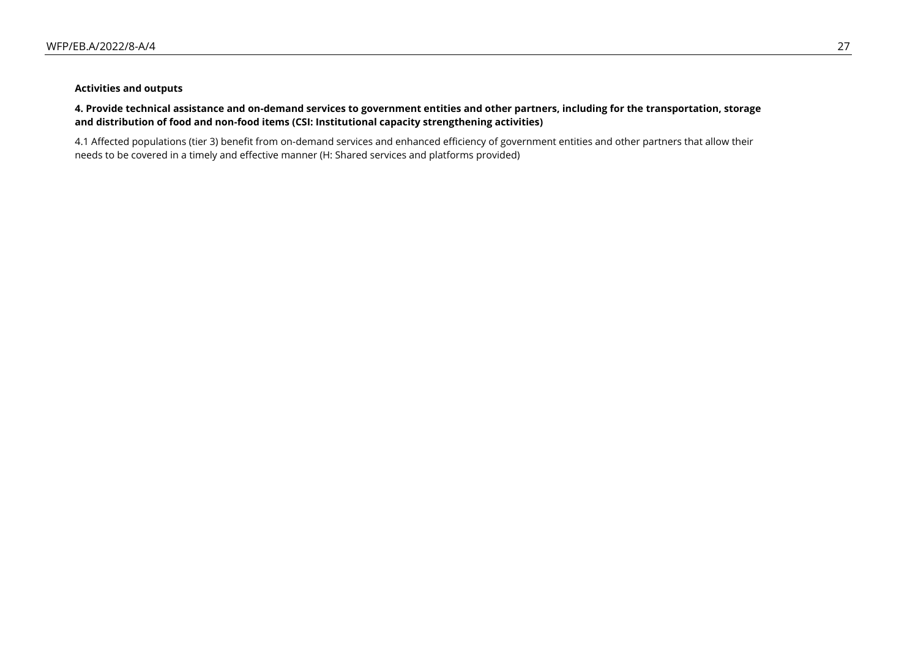#### **Activities and outputs**

#### **4. Provide technical assistance and on-demand services to government entities and other partners, including for the transportation, storage and distribution of food and non-food items (CSI: Institutional capacity strengthening activities)**

4.1 Affected populations (tier 3) benefit from on-demand services and enhanced efficiency of government entities and other partners that allow their needs to be covered in a timely and effective manner (H: Shared services and platforms provided)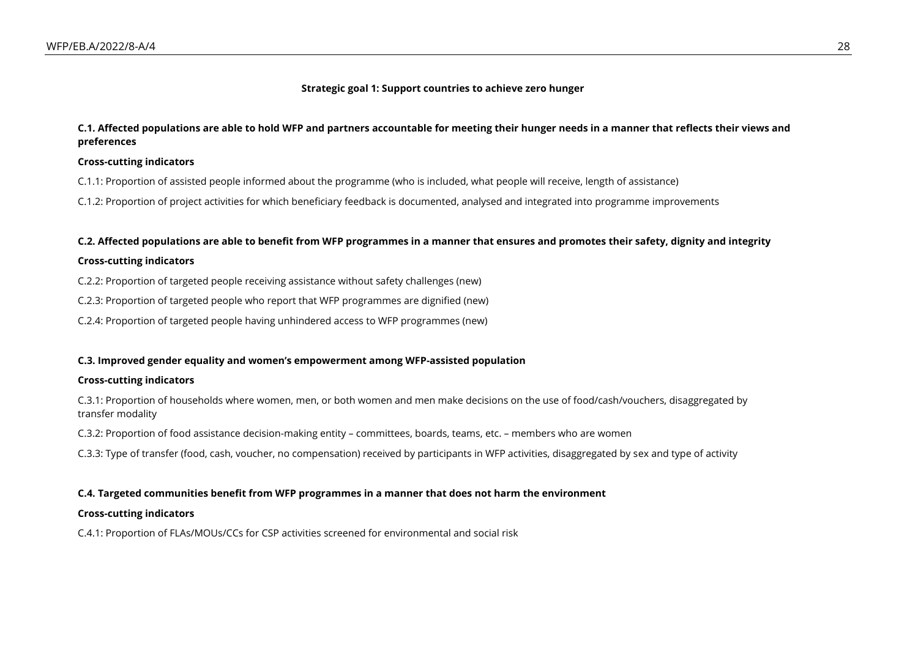#### **Strategic goal 1: Support countries to achieve zero hunger**

#### **C.1. Affected populations are able to hold WFP and partners accountable for meeting their hunger needs in a manner that reflects their views and preferences**

#### **Cross-cutting indicators**

C.1.1: Proportion of assisted people informed about the programme (who is included, what people will receive, length of assistance)

C.1.2: Proportion of project activities for which beneficiary feedback is documented, analysed and integrated into programme improvements

#### **C.2. Affected populations are able to benefit from WFP programmes in a manner that ensures and promotes their safety, dignity and integrity**

#### **Cross-cutting indicators**

C.2.2: Proportion of targeted people receiving assistance without safety challenges (new)

C.2.3: Proportion of targeted people who report that WFP programmes are dignified (new)

C.2.4: Proportion of targeted people having unhindered access to WFP programmes (new)

#### **C.3. Improved gender equality and women's empowerment among WFP-assisted population**

#### **Cross-cutting indicators**

C.3.1: Proportion of households where women, men, or both women and men make decisions on the use of food/cash/vouchers, disaggregated by transfer modality

C.3.2: Proportion of food assistance decision-making entity – committees, boards, teams, etc. – members who are women

C.3.3: Type of transfer (food, cash, voucher, no compensation) received by participants in WFP activities, disaggregated by sex and type of activity

#### **C.4. Targeted communities benefit from WFP programmes in a manner that does not harm the environment**

#### **Cross-cutting indicators**

C.4.1: Proportion of FLAs/MOUs/CCs for CSP activities screened for environmental and social risk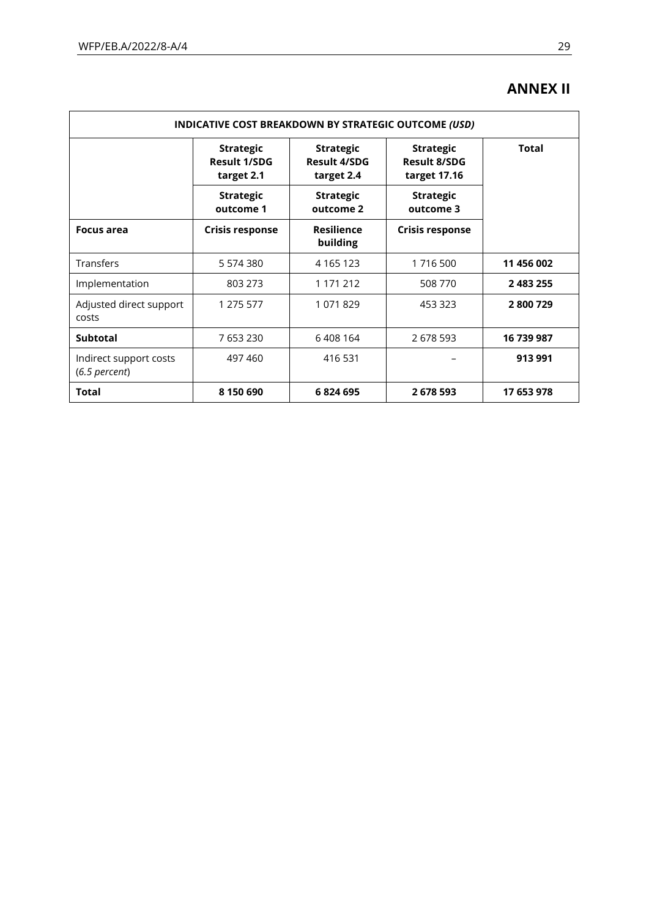# **ANNEX II**

| INDICATIVE COST BREAKDOWN BY STRATEGIC OUTCOME (USD) |                                                                                                                                                                           |                               |                               |            |  |
|------------------------------------------------------|---------------------------------------------------------------------------------------------------------------------------------------------------------------------------|-------------------------------|-------------------------------|------------|--|
|                                                      | <b>Strategic</b><br><b>Strategic</b><br><b>Strategic</b><br><b>Result 1/SDG</b><br><b>Result 4/SDG</b><br><b>Result 8/SDG</b><br>target 17.16<br>target 2.1<br>target 2.4 |                               | <b>Total</b>                  |            |  |
|                                                      | <b>Strategic</b><br>outcome 1                                                                                                                                             | <b>Strategic</b><br>outcome 2 | <b>Strategic</b><br>outcome 3 |            |  |
| <b>Focus area</b>                                    | <b>Crisis response</b>                                                                                                                                                    | <b>Resilience</b><br>building | <b>Crisis response</b>        |            |  |
| <b>Transfers</b>                                     | 5 574 380                                                                                                                                                                 | 4 1 6 5 1 2 3                 | 1716500                       | 11 456 002 |  |
| Implementation                                       | 803 273                                                                                                                                                                   | 1 171 212                     | 508 770                       | 2 483 255  |  |
| Adjusted direct support<br>costs                     | 1 275 577                                                                                                                                                                 | 1071829                       | 453 323                       | 2800729    |  |
| <b>Subtotal</b>                                      | 7 653 230                                                                                                                                                                 | 6408164                       | 2 678 593                     | 16 739 987 |  |
| Indirect support costs<br>$(6.5$ percent)            | 497 460                                                                                                                                                                   | 416 531                       |                               | 913 991    |  |
| <b>Total</b>                                         | 8 150 690                                                                                                                                                                 | 6824695                       | 2 678 593                     | 17 653 978 |  |